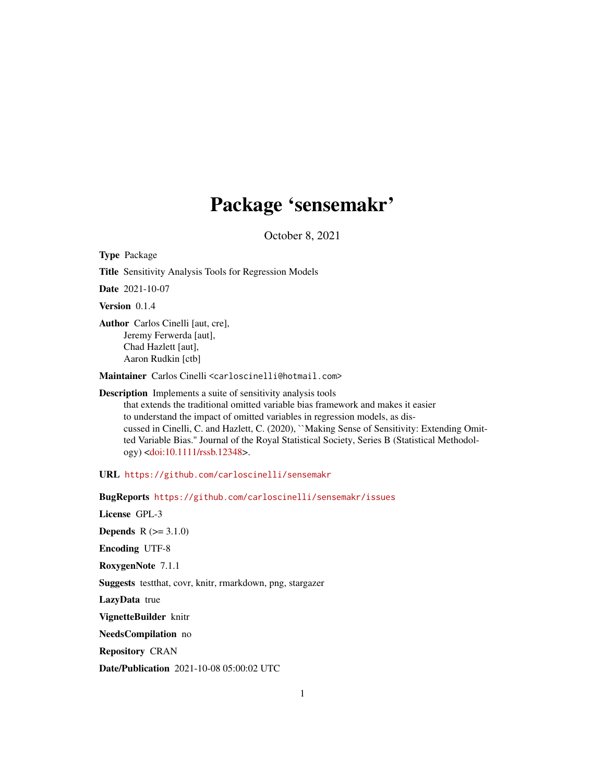# Package 'sensemakr'

October 8, 2021

<span id="page-0-0"></span>Type Package

Title Sensitivity Analysis Tools for Regression Models

Date 2021-10-07

Version 0.1.4

Author Carlos Cinelli [aut, cre], Jeremy Ferwerda [aut], Chad Hazlett [aut], Aaron Rudkin [ctb]

Maintainer Carlos Cinelli <carloscinelli@hotmail.com>

Description Implements a suite of sensitivity analysis tools that extends the traditional omitted variable bias framework and makes it easier to understand the impact of omitted variables in regression models, as discussed in Cinelli, C. and Hazlett, C. (2020), ``Making Sense of Sensitivity: Extending Omitted Variable Bias.'' Journal of the Royal Statistical Society, Series B (Statistical Methodology) [<doi:10.1111/rssb.12348>](https://doi.org/10.1111/rssb.12348).

URL <https://github.com/carloscinelli/sensemakr>

BugReports <https://github.com/carloscinelli/sensemakr/issues>

License GPL-3

**Depends**  $R (= 3.1.0)$ 

Encoding UTF-8

RoxygenNote 7.1.1

Suggests testthat, covr, knitr, rmarkdown, png, stargazer

LazyData true

VignetteBuilder knitr

NeedsCompilation no

Repository CRAN

Date/Publication 2021-10-08 05:00:02 UTC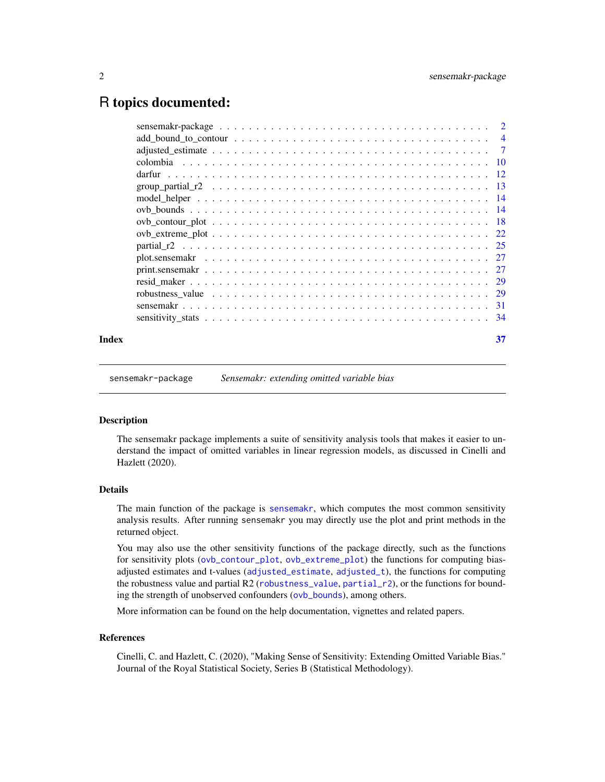# <span id="page-1-0"></span>R topics documented:

| Index | 37 |
|-------|----|

sensemakr-package *Sensemakr: extending omitted variable bias*

#### Description

The sensemakr package implements a suite of sensitivity analysis tools that makes it easier to understand the impact of omitted variables in linear regression models, as discussed in Cinelli and Hazlett (2020).

#### Details

The main function of the package is [sensemakr](#page-30-1), which computes the most common sensitivity analysis results. After running sensemakr you may directly use the plot and print methods in the returned object.

You may also use the other sensitivity functions of the package directly, such as the functions for sensitivity plots ([ovb\\_contour\\_plot](#page-17-1), [ovb\\_extreme\\_plot](#page-21-1)) the functions for computing biasadjusted estimates and t-values ([adjusted\\_estimate](#page-6-1), [adjusted\\_t](#page-6-2)), the functions for computing the robustness value and partial R2 ([robustness\\_value](#page-28-1), [partial\\_r2](#page-24-1)), or the functions for bounding the strength of unobserved confounders ([ovb\\_bounds](#page-13-1)), among others.

More information can be found on the help documentation, vignettes and related papers.

#### References

Cinelli, C. and Hazlett, C. (2020), "Making Sense of Sensitivity: Extending Omitted Variable Bias." Journal of the Royal Statistical Society, Series B (Statistical Methodology).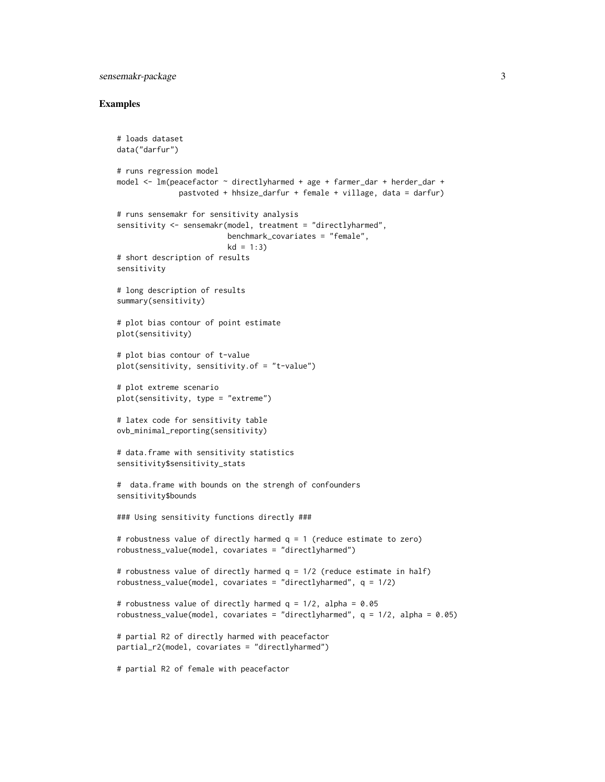# sensemakr-package 3

```
# loads dataset
data("darfur")
# runs regression model
model <- lm(peacefactor ~ directlyharmed + age + farmer_dar + herder_dar +
              pastvoted + hhsize_darfur + female + village, data = darfur)
# runs sensemakr for sensitivity analysis
sensitivity <- sensemakr(model, treatment = "directlyharmed",
                        benchmark_covariates = "female",
                        kd = 1:3)# short description of results
sensitivity
# long description of results
summary(sensitivity)
# plot bias contour of point estimate
plot(sensitivity)
# plot bias contour of t-value
plot(sensitivity, sensitivity.of = "t-value")
# plot extreme scenario
plot(sensitivity, type = "extreme")
# latex code for sensitivity table
ovb_minimal_reporting(sensitivity)
# data.frame with sensitivity statistics
sensitivity$sensitivity_stats
# data.frame with bounds on the strengh of confounders
sensitivity$bounds
### Using sensitivity functions directly ###
# robustness value of directly harmed q = 1 (reduce estimate to zero)
robustness_value(model, covariates = "directlyharmed")
# robustness value of directly harmed q = 1/2 (reduce estimate in half)
robustness_value(model, covariates = "directlyharmed", q = 1/2)
# robustness value of directly harmed q = 1/2, alpha = 0.05
robustness_value(model, covariates = "directlyharmed", q = 1/2, alpha = 0.05)
# partial R2 of directly harmed with peacefactor
partial_r2(model, covariates = "directlyharmed")
# partial R2 of female with peacefactor
```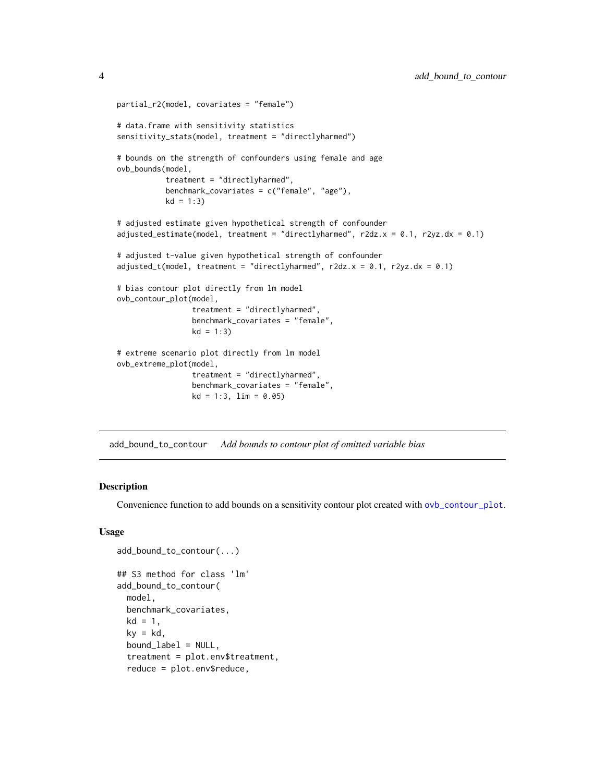```
partial_r2(model, covariates = "female")
# data.frame with sensitivity statistics
sensitivity_stats(model, treatment = "directlyharmed")
# bounds on the strength of confounders using female and age
ovb_bounds(model,
           treatment = "directlyharmed",
           benchmark_covariates = c("female", "age"),
           kd = 1:3)# adjusted estimate given hypothetical strength of confounder
adjusted_estimate(model, treatment = "directlyharmed", r2dz.x = 0.1, r2yz.dx = 0.1)
# adjusted t-value given hypothetical strength of confounder
adjusted_t(model, treatment = "directlyharmed", r2dz.x = 0.1, r2yz.dx = 0.1)
# bias contour plot directly from lm model
ovb_contour_plot(model,
                 treatment = "directlyharmed",
                 benchmark_covariates = "female",
                 kd = 1:3# extreme scenario plot directly from lm model
ovb_extreme_plot(model,
                 treatment = "directlyharmed",
                 benchmark_covariates = "female",
                 kd = 1:3, lim = 0.05
```
add\_bound\_to\_contour *Add bounds to contour plot of omitted variable bias*

#### Description

Convenience function to add bounds on a sensitivity contour plot created with [ovb\\_contour\\_plot](#page-17-1).

#### Usage

```
add_bound_to_contour(...)
## S3 method for class 'lm'
add_bound_to_contour(
 model,
 benchmark_covariates,
 kd = 1,
  kv = kd.
  bound_label = NULL,
  treatment = plot.env$treatment,
  reduce = plot.env$reduce,
```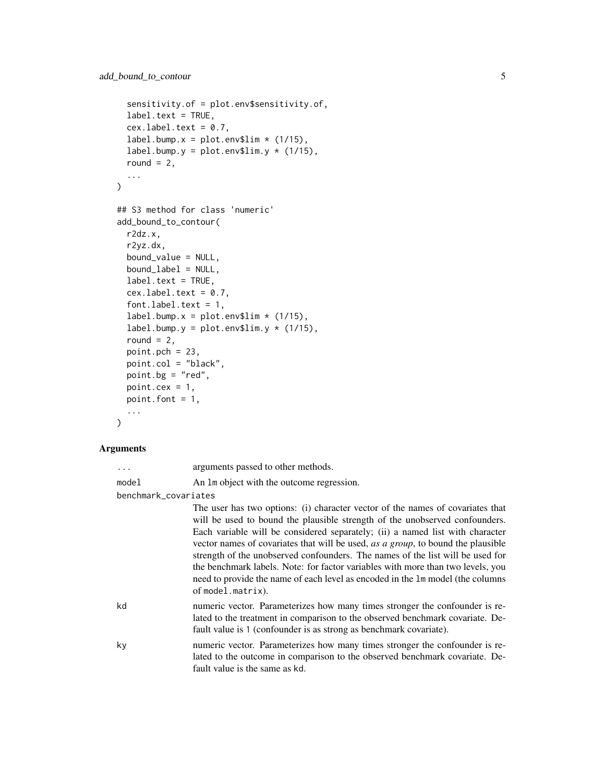```
sensitivity.of = plot.env$sensitivity.of,
  label.text = TRUE,
 cex.label.text = 0.7,
 label.bump.x = plot.env$lim * (1/15),
  label.bump.y = plot.env$lim.y *(1/15),
  round = 2,
  ...
\mathcal{L}## S3 method for class 'numeric'
add_bound_to_contour(
 r2dz.x,
 r2yz.dx,
 bound_value = NULL,
 bound_label = NULL,
  label.text = TRUE,cex.label.text = 0.7,font.label.text = 1,
 label.bump.x = plot.env$lim * (1/15),
  label.bump.y = plot.env$lim.y *(1/15),
  round = 2,
 point.pch = 23,
 point.col = "black",
 point.bg = "red",point.cex = 1,
 point.font = 1,
  ...
\mathcal{L}
```
#### Arguments

| arguments passed to other methods.<br>. |  |
|-----------------------------------------|--|
|-----------------------------------------|--|

```
model An lm object with the outcome regression.
```
benchmark\_covariates

|    | The user has two options: (i) character vector of the names of covariates that<br>will be used to bound the plausible strength of the unobserved confounders.<br>Each variable will be considered separately; (ii) a named list with character<br>vector names of covariates that will be used, as a group, to bound the plausible<br>strength of the unobserved confounders. The names of the list will be used for<br>the benchmark labels. Note: for factor variables with more than two levels, you<br>need to provide the name of each level as encoded in the 1m model (the columns<br>of model.matrix). |
|----|----------------------------------------------------------------------------------------------------------------------------------------------------------------------------------------------------------------------------------------------------------------------------------------------------------------------------------------------------------------------------------------------------------------------------------------------------------------------------------------------------------------------------------------------------------------------------------------------------------------|
| kd | numeric vector. Parameterizes how many times stronger the confounder is re-<br>lated to the treatment in comparison to the observed benchmark covariate. De-<br>fault value is 1 (confounder is as strong as benchmark covariate).                                                                                                                                                                                                                                                                                                                                                                             |
| ky | numeric vector. Parameterizes how many times stronger the confounder is re-<br>lated to the outcome in comparison to the observed benchmark covariate. De-<br>fault value is the same as kd.                                                                                                                                                                                                                                                                                                                                                                                                                   |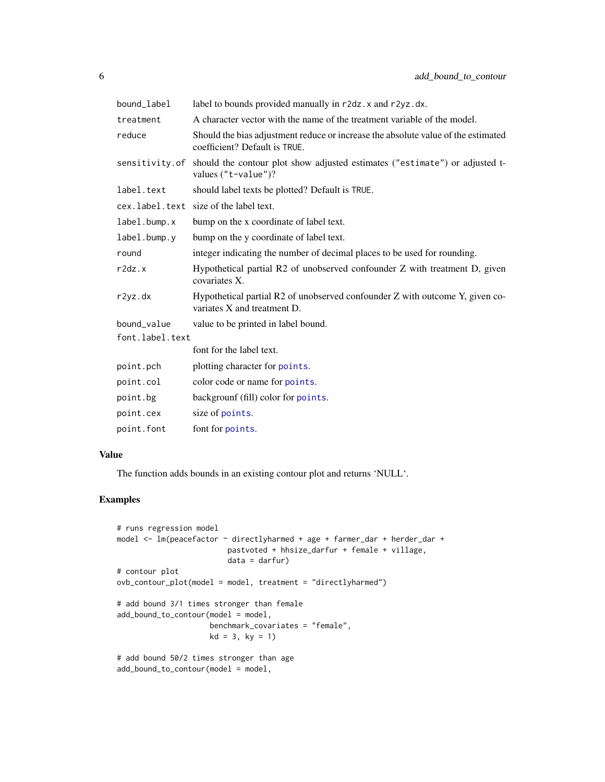<span id="page-5-0"></span>

| bound_label     | label to bounds provided manually in r2dz. x and r2yz.dx.                                                          |
|-----------------|--------------------------------------------------------------------------------------------------------------------|
| treatment       | A character vector with the name of the treatment variable of the model.                                           |
| reduce          | Should the bias adjustment reduce or increase the absolute value of the estimated<br>coefficient? Default is TRUE. |
| sensitivity.of  | should the contour plot show adjusted estimates ("estimate") or adjusted t-<br>values ("t-value")?                 |
| label.text      | should label texts be plotted? Default is TRUE.                                                                    |
|                 | cex.label.text size of the label text.                                                                             |
| label.bump.x    | bump on the x coordinate of label text.                                                                            |
| label.bump.y    | bump on the y coordinate of label text.                                                                            |
| round           | integer indicating the number of decimal places to be used for rounding.                                           |
| r2dz.x          | Hypothetical partial R2 of unobserved confounder Z with treatment D, given<br>covariates X.                        |
| r2yz.dx         | Hypothetical partial R2 of unobserved confounder Z with outcome Y, given co-<br>variates X and treatment D.        |
| bound_value     | value to be printed in label bound.                                                                                |
| font.label.text |                                                                                                                    |
|                 | font for the label text.                                                                                           |
| point.pch       | plotting character for points.                                                                                     |
| point.col       | color code or name for points.                                                                                     |
| point.bg        | backgrounf (fill) color for points.                                                                                |
| point.cex       | size of points.                                                                                                    |
| point.font      | font for points.                                                                                                   |

## Value

The function adds bounds in an existing contour plot and returns 'NULL'.

```
# runs regression model
model <- lm(peacefactor ~ directlyharmed + age + farmer_dar + herder_dar +
                        pastvoted + hhsize_darfur + female + village,
                        data = darfur)
# contour plot
ovb_contour_plot(model = model, treatment = "directlyharmed")
# add bound 3/1 times stronger than female
add_bound_to_contour(model = model,
                    benchmark_covariates = "female",
                    kd = 3, ky = 1)# add bound 50/2 times stronger than age
add_bound_to_contour(model = model,
```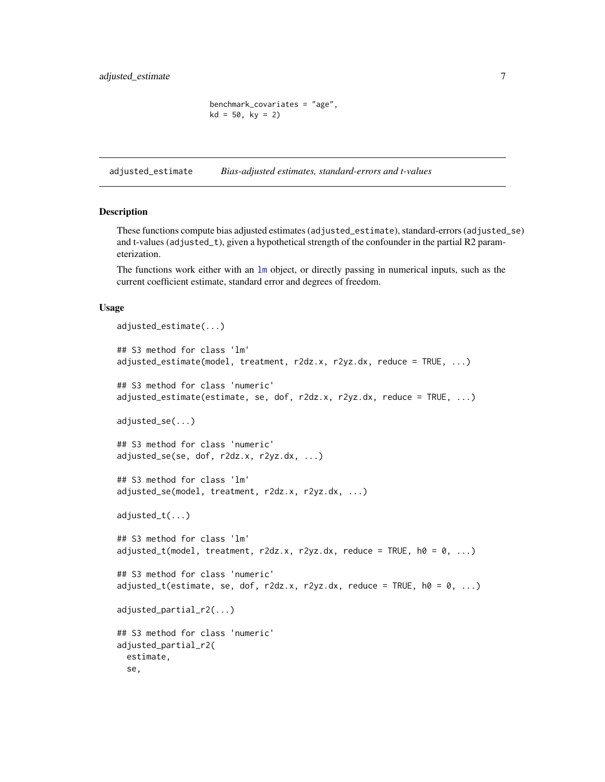```
benchmark_covariates = "age",
kd = 50, ky = 2)
```
<span id="page-6-1"></span><span id="page-6-0"></span>adjusted\_estimate *Bias-adjusted estimates, standard-errors and t-values*

#### <span id="page-6-2"></span>Description

These functions compute bias adjusted estimates (adjusted\_estimate), standard-errors (adjusted\_se) and t-values (adjusted\_t), given a hypothetical strength of the confounder in the partial R2 parameterization.

The functions work either with an [lm](#page-0-0) object, or directly passing in numerical inputs, such as the current coefficient estimate, standard error and degrees of freedom.

#### Usage

```
adjusted_estimate(...)
## S3 method for class 'lm'
adjusted_estimate(model, treatment, r2dz.x, r2yz.dx, reduce = TRUE, ...)
## S3 method for class 'numeric'
adjusted_estimate(estimate, se, dof, r2dz.x, r2yz.dx, reduce = TRUE, ...)
adjusted_se(...)
## S3 method for class 'numeric'
adjusted_se(se, dof, r2dz.x, r2yz.dx, ...)
## S3 method for class 'lm'
adjusted_se(model, treatment, r2dz.x, r2yz.dx, ...)
adjusted_t(...)
## S3 method for class 'lm'
adjusted_t(\text{model}, \text{treatment}, \text{r2dz.x}, \text{r2yz.dx}, \text{reduce} = \text{TRUE}, \text{h0} = 0, \ldots)## S3 method for class 'numeric'
adjusted_t(estimate, se, dof, r2dz.x, r2yz.dx, reduce = TRUE, h0 = 0, ...)adjusted_partial_r2(...)
## S3 method for class 'numeric'
adjusted_partial_r2(
  estimate,
  se,
```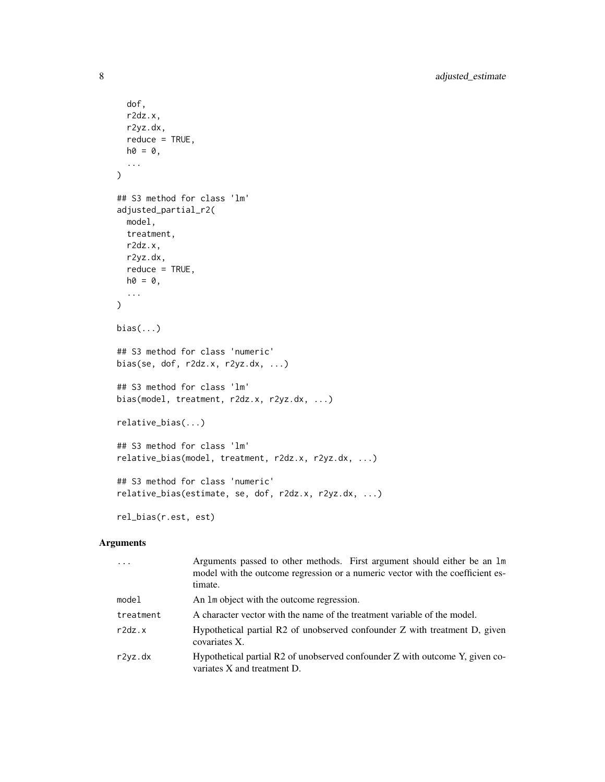```
dof,
 r2dz.x,
 r2yz.dx,
 reduce = TRUE,
 ho = 0,
  ...
\mathcal{L}## S3 method for class 'lm'
adjusted_partial_r2(
 model,
 treatment,
 r2dz.x,
 r2yz.dx,
 reduce = TRUE,
 ho = 0,
  ...
\mathcal{L}bias(...)
## S3 method for class 'numeric'
bias(se, dof, r2dz.x, r2yz.dx, ...)
## S3 method for class 'lm'
bias(model, treatment, r2dz.x, r2yz.dx, ...)
relative_bias(...)
## S3 method for class 'lm'
relative_bias(model, treatment, r2dz.x, r2yz.dx, ...)
## S3 method for class 'numeric'
relative_bias(estimate, se, dof, r2dz.x, r2yz.dx, ...)
rel_bias(r.est, est)
```
# Arguments

| $\cdot$ $\cdot$ $\cdot$ | Arguments passed to other methods. First argument should either be an 1m<br>model with the outcome regression or a numeric vector with the coefficient es-<br>timate. |
|-------------------------|-----------------------------------------------------------------------------------------------------------------------------------------------------------------------|
| model                   | An 1m object with the outcome regression.                                                                                                                             |
| treatment               | A character vector with the name of the treatment variable of the model.                                                                                              |
| r2dz.x                  | Hypothetical partial R2 of unobserved confounder Z with treatment D, given<br>covariates X.                                                                           |
| r2yz.dx                 | Hypothetical partial R2 of unobserved confounder Z with outcome Y, given co-<br>variates X and treatment D.                                                           |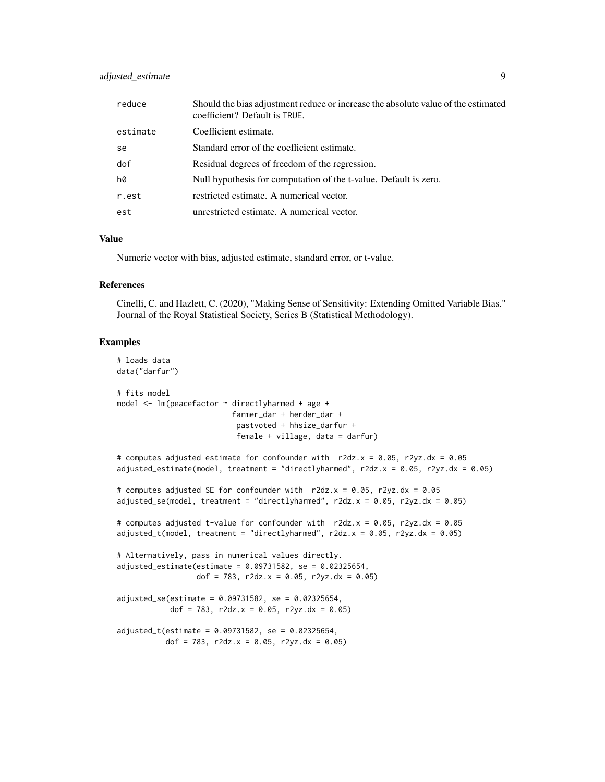# adjusted\_estimate 9

| reduce        | Should the bias adjustment reduce or increase the absolute value of the estimated<br>coefficient? Default is TRUE. |
|---------------|--------------------------------------------------------------------------------------------------------------------|
| estimate      | Coefficient estimate.                                                                                              |
| <sub>se</sub> | Standard error of the coefficient estimate.                                                                        |
| dof           | Residual degrees of freedom of the regression.                                                                     |
| h0            | Null hypothesis for computation of the t-value. Default is zero.                                                   |
| r.est         | restricted estimate. A numerical vector.                                                                           |
| est           | unrestricted estimate. A numerical vector.                                                                         |

# Value

Numeric vector with bias, adjusted estimate, standard error, or t-value.

#### References

Cinelli, C. and Hazlett, C. (2020), "Making Sense of Sensitivity: Extending Omitted Variable Bias." Journal of the Royal Statistical Society, Series B (Statistical Methodology).

```
# loads data
data("darfur")
# fits model
model \leq - lm(peacefactor \sim directly harmed + age +
                          farmer_dar + herder_dar +
                           pastvoted + hhsize_darfur +
                           female + village, data = darfur)
# computes adjusted estimate for confounder with r2dz.x = 0.05, r2yz.dx = 0.05
adjusted_estimate(model, treatment = "directlyharmed", r2dz.x = 0.05, r2yz.dx = 0.05)
# computes adjusted SE for confounder with r2dz.x = 0.05, r2yz.dx = 0.05
adjusted_se(model, treatment = "directlyharmed", r2dz.x = 0.05, r2yz.dx = 0.05)
# computes adjusted t-value for confounder with r2dz.x = 0.05, r2yz.dx = 0.05
adjusted_t(\text{model}, treatment = "directlyharmed", r2dz.x = 0.05, r2yz.dx = 0.05)# Alternatively, pass in numerical values directly.
adjusted_estimate(estimate = 0.09731582, se = 0.02325654,
                  dof = 783, r2dz.x = 0.05, r2yz.dx = 0.05)
adjusted_se(estimate = 0.09731582, se = 0.02325654,
            dof = 783, r2dz.x = 0.05, r2yz.dx = 0.05)
adjusted_t(estimate = 0.09731582, se = 0.02325654,
           dof = 783, r2dz.x = 0.05, r2yz.dx = 0.05)
```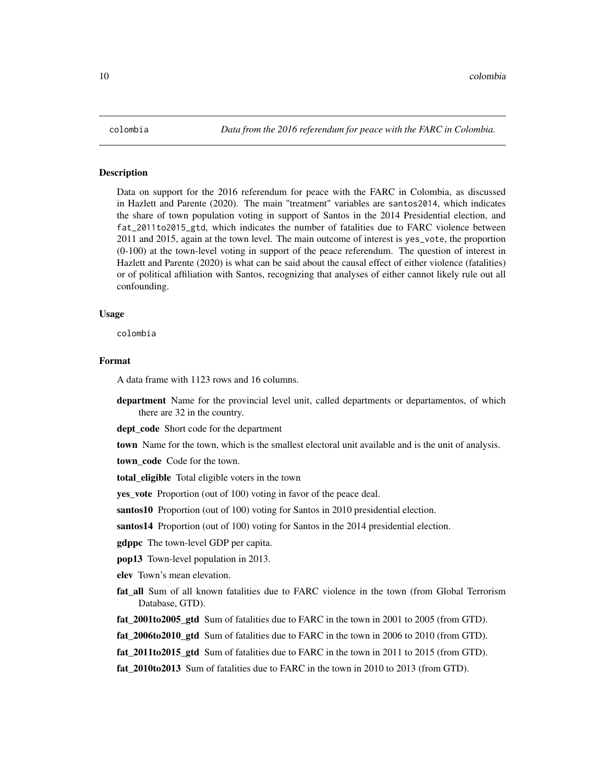<span id="page-9-0"></span>

### **Description**

Data on support for the 2016 referendum for peace with the FARC in Colombia, as discussed in Hazlett and Parente (2020). The main "treatment" variables are santos2014, which indicates the share of town population voting in support of Santos in the 2014 Presidential election, and fat\_2011to2015\_gtd, which indicates the number of fatalities due to FARC violence between 2011 and 2015, again at the town level. The main outcome of interest is yes\_vote, the proportion (0-100) at the town-level voting in support of the peace referendum. The question of interest in Hazlett and Parente (2020) is what can be said about the causal effect of either violence (fatalities) or of political affiliation with Santos, recognizing that analyses of either cannot likely rule out all confounding.

#### Usage

colombia

# Format

A data frame with 1123 rows and 16 columns.

department Name for the provincial level unit, called departments or departamentos, of which there are 32 in the country.

dept\_code Short code for the department

town Name for the town, which is the smallest electoral unit available and is the unit of analysis.

town code Code for the town.

total\_eligible Total eligible voters in the town

yes\_vote Proportion (out of 100) voting in favor of the peace deal.

santos10 Proportion (out of 100) voting for Santos in 2010 presidential election.

santos14 Proportion (out of 100) voting for Santos in the 2014 presidential election.

gdppc The town-level GDP per capita.

pop13 Town-level population in 2013.

elev Town's mean elevation.

- fat all Sum of all known fatalities due to FARC violence in the town (from Global Terrorism Database, GTD).
- fat\_2001to2005\_gtd Sum of fatalities due to FARC in the town in 2001 to 2005 (from GTD).
- fat\_2006to2010\_gtd Sum of fatalities due to FARC in the town in 2006 to 2010 (from GTD).
- fat\_2011to2015\_gtd Sum of fatalities due to FARC in the town in 2011 to 2015 (from GTD).
- fat\_2010to2013 Sum of fatalities due to FARC in the town in 2010 to 2013 (from GTD).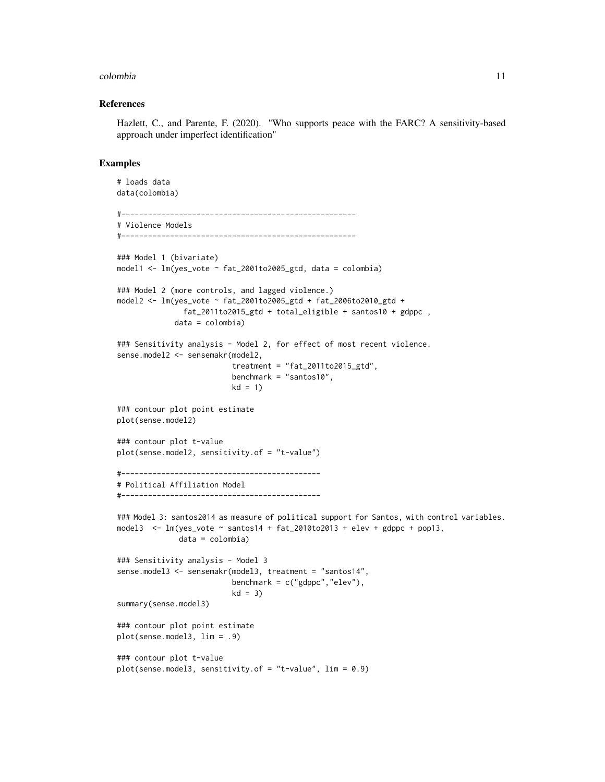#### colombia 11

#### References

Hazlett, C., and Parente, F. (2020). "Who supports peace with the FARC? A sensitivity-based approach under imperfect identification"

```
# loads data
data(colombia)
#-----------------------------------------------------
# Violence Models
#-----------------------------------------------------
### Model 1 (bivariate)
model1 <- lm(yes_vote ~ fat_2001to2005_gtd, data = colombia)
### Model 2 (more controls, and lagged violence.)
model2 <- lm(yes_vote ~ fat_2001to2005_gtd + fat_2006to2010_gtd +
               fat_2011to2015_gtd + total_eligible + santos10 + gdppc ,
             data = colombia)
### Sensitivity analysis - Model 2, for effect of most recent violence.
sense.model2 <- sensemakr(model2,
                          treatment = "fat_2011to2015_gtd",
                          benchmark = "santos10",
                          kd = 1### contour plot point estimate
plot(sense.model2)
### contour plot t-value
plot(sense.model2, sensitivity.of = "t-value")
#---------------------------------------------
# Political Affiliation Model
#---------------------------------------------
### Model 3: santos2014 as measure of political support for Santos, with control variables.
model3 \leq - lm(yes_vote \sim santos14 + fat_2010to2013 + elev + gdppc + pop13,
              data = colombia)
### Sensitivity analysis - Model 3
sense.model3 <- sensemakr(model3, treatment = "santos14",
                          benchmark = c("gdppc","elev"),
                          kd = 3)summary(sense.model3)
### contour plot point estimate
plot(sense.model3, lim = .9)
### contour plot t-value
plot(sense.model3, sensitivity.of = "t-value", lim = 0.9)
```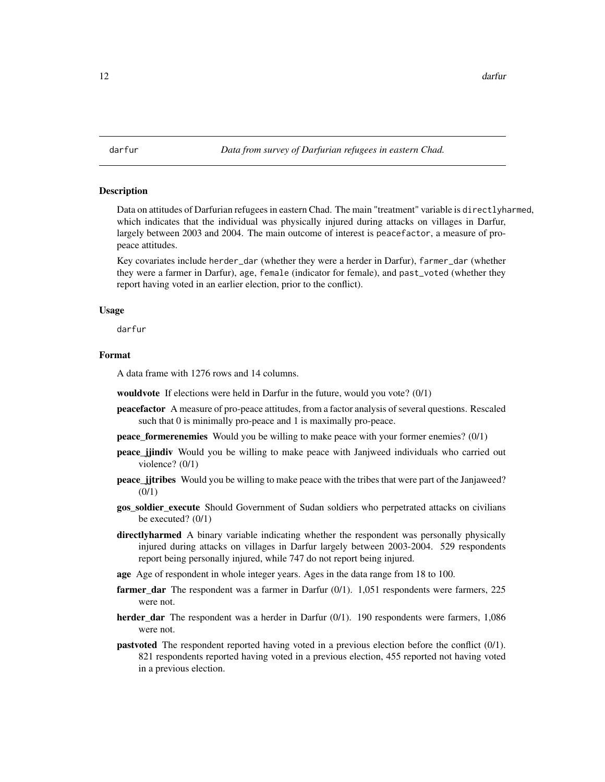<span id="page-11-0"></span>

#### **Description**

Data on attitudes of Darfurian refugees in eastern Chad. The main "treatment" variable is directlyharmed, which indicates that the individual was physically injured during attacks on villages in Darfur, largely between 2003 and 2004. The main outcome of interest is peacefactor, a measure of propeace attitudes.

Key covariates include herder\_dar (whether they were a herder in Darfur), farmer\_dar (whether they were a farmer in Darfur), age, female (indicator for female), and past\_voted (whether they report having voted in an earlier election, prior to the conflict).

#### Usage

darfur

#### Format

A data frame with 1276 rows and 14 columns.

wouldvote If elections were held in Darfur in the future, would you vote? (0/1)

- peacefactor A measure of pro-peace attitudes, from a factor analysis of several questions. Rescaled such that 0 is minimally pro-peace and 1 is maximally pro-peace.
- peace\_formerenemies Would you be willing to make peace with your former enemies? (0/1)
- peace\_jjindiv Would you be willing to make peace with Janjweed individuals who carried out violence? (0/1)
- **peace** jitribes Would you be willing to make peace with the tribes that were part of the Janjaweed? (0/1)
- gos\_soldier\_execute Should Government of Sudan soldiers who perpetrated attacks on civilians be executed? (0/1)
- directlyharmed A binary variable indicating whether the respondent was personally physically injured during attacks on villages in Darfur largely between 2003-2004. 529 respondents report being personally injured, while 747 do not report being injured.
- age Age of respondent in whole integer years. Ages in the data range from 18 to 100.
- farmer\_dar The respondent was a farmer in Darfur (0/1). 1,051 respondents were farmers, 225 were not.
- herder\_dar The respondent was a herder in Darfur (0/1). 190 respondents were farmers, 1,086 were not.
- pastvoted The respondent reported having voted in a previous election before the conflict (0/1). 821 respondents reported having voted in a previous election, 455 reported not having voted in a previous election.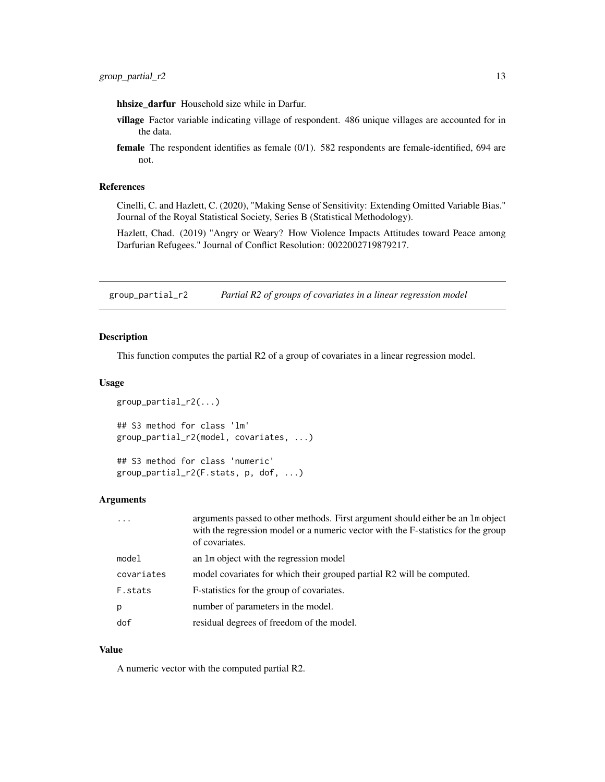<span id="page-12-0"></span>hhsize\_darfur Household size while in Darfur.

- village Factor variable indicating village of respondent. 486 unique villages are accounted for in the data.
- female The respondent identifies as female (0/1). 582 respondents are female-identified, 694 are not.

# References

Cinelli, C. and Hazlett, C. (2020), "Making Sense of Sensitivity: Extending Omitted Variable Bias." Journal of the Royal Statistical Society, Series B (Statistical Methodology).

Hazlett, Chad. (2019) "Angry or Weary? How Violence Impacts Attitudes toward Peace among Darfurian Refugees." Journal of Conflict Resolution: 0022002719879217.

<span id="page-12-1"></span>group\_partial\_r2 *Partial R2 of groups of covariates in a linear regression model*

# Description

This function computes the partial R2 of a group of covariates in a linear regression model.

#### Usage

```
group_partial_r2(...)
## S3 method for class 'lm'
group_partial_r2(model, covariates, ...)
## S3 method for class 'numeric'
group_partial_r2(F.stats, p, dof, ...)
```
#### Arguments

| $\cdot$ $\cdot$ $\cdot$ | arguments passed to other methods. First argument should either be an 1m object<br>with the regression model or a numeric vector with the F-statistics for the group<br>of covariates. |
|-------------------------|----------------------------------------------------------------------------------------------------------------------------------------------------------------------------------------|
| model                   | an 1m object with the regression model                                                                                                                                                 |
| covariates              | model covariates for which their grouped partial R2 will be computed.                                                                                                                  |
| F.stats                 | F-statistics for the group of covariates.                                                                                                                                              |
| p                       | number of parameters in the model.                                                                                                                                                     |
| dof                     | residual degrees of freedom of the model.                                                                                                                                              |

#### Value

A numeric vector with the computed partial R2.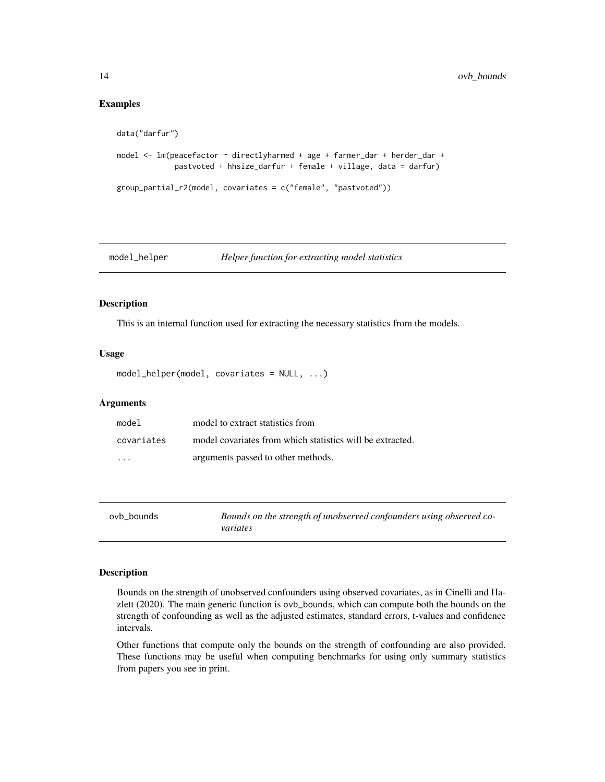#### Examples

```
data("darfur")
model <- lm(peacefactor ~ directlyharmed + age + farmer_dar + herder_dar +
             pastvoted + hhsize_darfur + female + village, data = darfur)
group_partial_r2(model, covariates = c("female", "pastvoted"))
```
model\_helper *Helper function for extracting model statistics*

# Description

This is an internal function used for extracting the necessary statistics from the models.

#### Usage

```
model_helper(model, covariates = NULL, ...)
```
#### Arguments

| model      | model to extract statistics from                          |
|------------|-----------------------------------------------------------|
| covariates | model covariates from which statistics will be extracted. |
| $\cdots$   | arguments passed to other methods.                        |

<span id="page-13-1"></span>

| ovb bounds | Bounds on the strength of unobserved confounders using observed co- |
|------------|---------------------------------------------------------------------|
|            | variates                                                            |

#### Description

Bounds on the strength of unobserved confounders using observed covariates, as in Cinelli and Hazlett (2020). The main generic function is ovb\_bounds, which can compute both the bounds on the strength of confounding as well as the adjusted estimates, standard errors, t-values and confidence intervals.

Other functions that compute only the bounds on the strength of confounding are also provided. These functions may be useful when computing benchmarks for using only summary statistics from papers you see in print.

<span id="page-13-0"></span>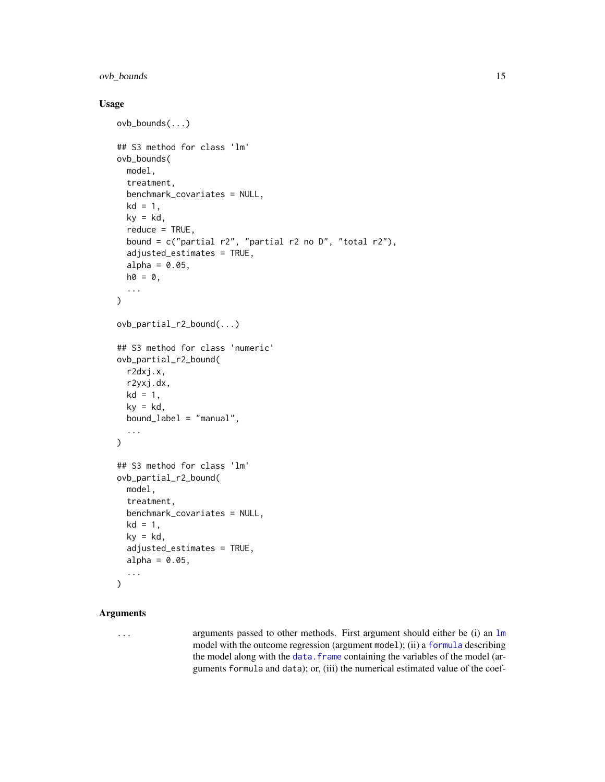# <span id="page-14-0"></span>ovb\_bounds 15

#### Usage

```
ovb_bounds(...)
## S3 method for class 'lm'
ovb_bounds(
  model,
  treatment,
  benchmark_covariates = NULL,
  kd = 1,
  ky = kd,
  reduce = TRUE,
  bound = c("partial r2", "partial r2 no D", "total r2"),adjusted_estimates = TRUE,
  alpha = 0.05,
 ho = 0,
  ...
)
ovb_partial_r2_bound(...)
## S3 method for class 'numeric'
ovb_partial_r2_bound(
  r2dxj.x,
  r2yxj.dx,
 kd = 1,
 ky = kd,
 bound_label = "manual",
  ...
\mathcal{L}## S3 method for class 'lm'
ovb_partial_r2_bound(
  model,
  treatment,
  benchmark_covariates = NULL,
  kd = 1,
  ky = kd,
  adjusted_estimates = TRUE,
  alpha = 0.05,
  ...
)
```
# Arguments

... arguments passed to other methods. First argument should either be (i) an [lm](#page-0-0) model with the outcome regression (argument model); (ii) a [formula](#page-0-0) describing the model along with the data. frame containing the variables of the model (arguments formula and data); or, (iii) the numerical estimated value of the coef-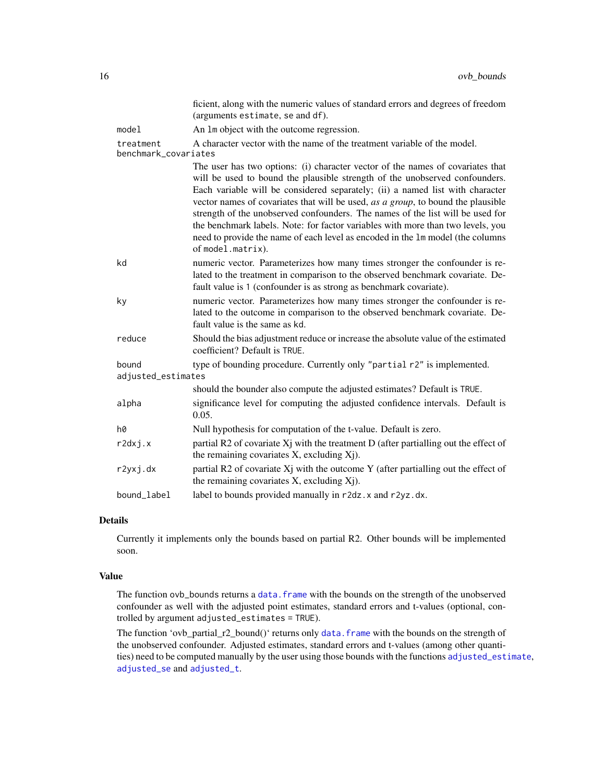<span id="page-15-0"></span>

|                                   | ficient, along with the numeric values of standard errors and degrees of freedom<br>(arguments estimate, se and df).                                                                                                                                                                                                                                                                                                                                                                                                                                                                                           |
|-----------------------------------|----------------------------------------------------------------------------------------------------------------------------------------------------------------------------------------------------------------------------------------------------------------------------------------------------------------------------------------------------------------------------------------------------------------------------------------------------------------------------------------------------------------------------------------------------------------------------------------------------------------|
| model                             | An 1m object with the outcome regression.                                                                                                                                                                                                                                                                                                                                                                                                                                                                                                                                                                      |
| treatment<br>benchmark_covariates | A character vector with the name of the treatment variable of the model.                                                                                                                                                                                                                                                                                                                                                                                                                                                                                                                                       |
|                                   | The user has two options: (i) character vector of the names of covariates that<br>will be used to bound the plausible strength of the unobserved confounders.<br>Each variable will be considered separately; (ii) a named list with character<br>vector names of covariates that will be used, as a group, to bound the plausible<br>strength of the unobserved confounders. The names of the list will be used for<br>the benchmark labels. Note: for factor variables with more than two levels, you<br>need to provide the name of each level as encoded in the 1m model (the columns<br>of model.matrix). |
| kd                                | numeric vector. Parameterizes how many times stronger the confounder is re-<br>lated to the treatment in comparison to the observed benchmark covariate. De-<br>fault value is 1 (confounder is as strong as benchmark covariate).                                                                                                                                                                                                                                                                                                                                                                             |
| ky                                | numeric vector. Parameterizes how many times stronger the confounder is re-<br>lated to the outcome in comparison to the observed benchmark covariate. De-<br>fault value is the same as kd.                                                                                                                                                                                                                                                                                                                                                                                                                   |
| reduce                            | Should the bias adjustment reduce or increase the absolute value of the estimated<br>coefficient? Default is TRUE.                                                                                                                                                                                                                                                                                                                                                                                                                                                                                             |
| bound<br>adjusted_estimates       | type of bounding procedure. Currently only "partial r2" is implemented.                                                                                                                                                                                                                                                                                                                                                                                                                                                                                                                                        |
|                                   | should the bounder also compute the adjusted estimates? Default is TRUE.                                                                                                                                                                                                                                                                                                                                                                                                                                                                                                                                       |
| alpha                             | significance level for computing the adjusted confidence intervals. Default is<br>0.05.                                                                                                                                                                                                                                                                                                                                                                                                                                                                                                                        |
| h0                                | Null hypothesis for computation of the t-value. Default is zero.                                                                                                                                                                                                                                                                                                                                                                                                                                                                                                                                               |
| r2dxj.x                           | partial R2 of covariate Xj with the treatment D (after partialling out the effect of<br>the remaining covariates X, excluding Xj).                                                                                                                                                                                                                                                                                                                                                                                                                                                                             |
| r2yxj.dx                          | partial R2 of covariate $X_j$ with the outcome Y (after partialling out the effect of<br>the remaining covariates X, excluding Xj).                                                                                                                                                                                                                                                                                                                                                                                                                                                                            |
| bound label                       | label to bounds provided manually in r2dz. x and r2yz.dx.                                                                                                                                                                                                                                                                                                                                                                                                                                                                                                                                                      |

# Details

Currently it implements only the bounds based on partial R2. Other bounds will be implemented soon.

#### Value

The function ovb\_bounds returns a data. frame with the bounds on the strength of the unobserved confounder as well with the adjusted point estimates, standard errors and t-values (optional, controlled by argument adjusted\_estimates = TRUE).

The function 'ovb\_partial\_r2\_bound()' returns only [data.frame](#page-0-0) with the bounds on the strength of the unobserved confounder. Adjusted estimates, standard errors and t-values (among other quantities) need to be computed manually by the user using those bounds with the functions [adjusted\\_estimate](#page-6-1), [adjusted\\_se](#page-6-2) and [adjusted\\_t](#page-6-2).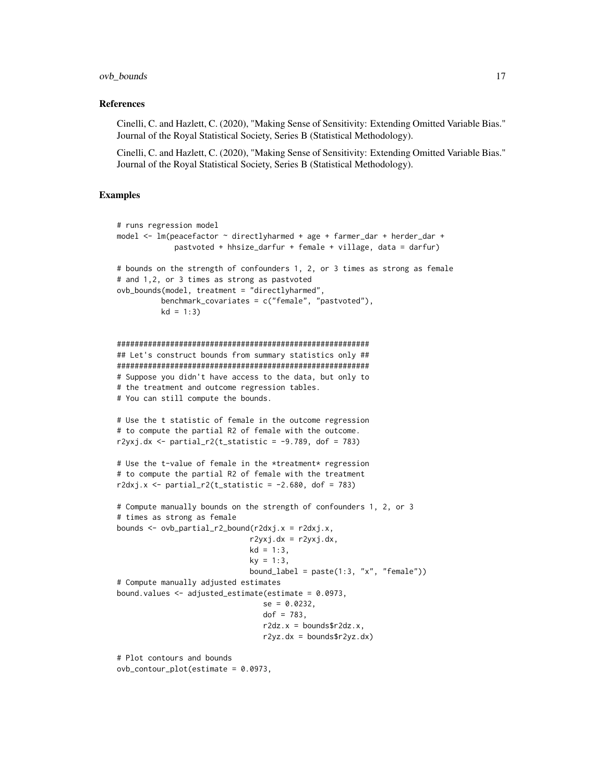#### ovb\_bounds 17

#### References

Cinelli, C. and Hazlett, C. (2020), "Making Sense of Sensitivity: Extending Omitted Variable Bias." Journal of the Royal Statistical Society, Series B (Statistical Methodology).

Cinelli, C. and Hazlett, C. (2020), "Making Sense of Sensitivity: Extending Omitted Variable Bias." Journal of the Royal Statistical Society, Series B (Statistical Methodology).

```
# runs regression model
model <- lm(peacefactor ~ directlyharmed + age + farmer_dar + herder_dar +
             pastvoted + hhsize_darfur + female + village, data = darfur)
# bounds on the strength of confounders 1, 2, or 3 times as strong as female
# and 1,2, or 3 times as strong as pastvoted
ovb_bounds(model, treatment = "directlyharmed",
          benchmark_covariates = c("female", "pastvoted"),
          kd = 1:3)#########################################################
## Let's construct bounds from summary statistics only ##
#########################################################
# Suppose you didn't have access to the data, but only to
# the treatment and outcome regression tables.
# You can still compute the bounds.
# Use the t statistic of female in the outcome regression
# to compute the partial R2 of female with the outcome.
r2yxj.dx \leq partial_r2(t_statistic = -9.789, dof = 783)# Use the t-value of female in the *treatment* regression
# to compute the partial R2 of female with the treatment
r2dxj.x <- partial_r2(t_statistic = -2.680, dof = 783)
# Compute manually bounds on the strength of confounders 1, 2, or 3
# times as strong as female
bounds \leq ovb_partial_r2_bound(r2dxj.x = r2dxj.x,
                              r2yxj.dx = r2yxj.dx,
                              kd = 1:3,
                              ky = 1:3,
                              bound_label = past(1:3, "x", "female"))# Compute manually adjusted estimates
bound.values <- adjusted_estimate(estimate = 0.0973,
                                 se = 0.0232,
                                 dof = 783,
                                 r2dz.x = \text{bounds}\r2dz.x,
                                 r2yz.dx = boundsfr2yz.dx# Plot contours and bounds
ovb_contour_plot(estimate = 0.0973,
```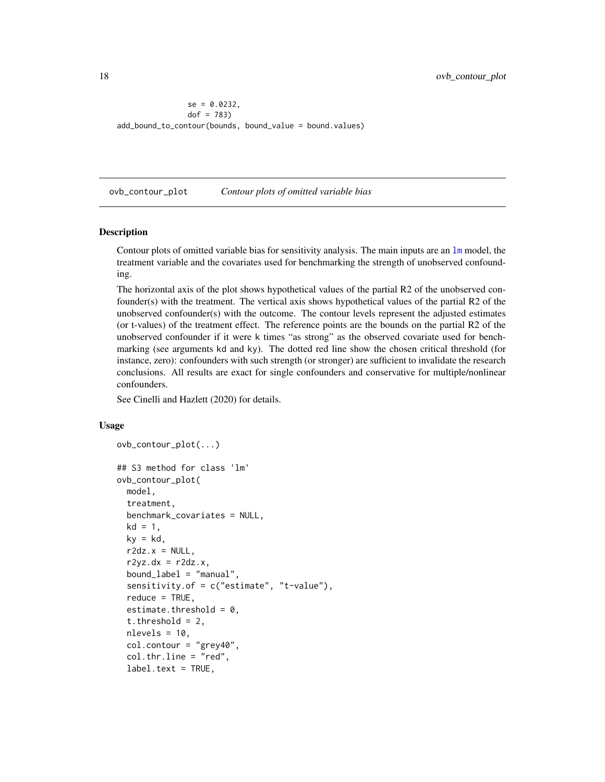```
se = 0.0232,
                dof = 783add_bound_to_contour(bounds, bound_value = bound.values)
```
<span id="page-17-1"></span>ovb\_contour\_plot *Contour plots of omitted variable bias*

#### Description

Contour plots of omitted variable bias for sensitivity analysis. The main inputs are an [lm](#page-0-0) model, the treatment variable and the covariates used for benchmarking the strength of unobserved confounding.

The horizontal axis of the plot shows hypothetical values of the partial R2 of the unobserved confounder(s) with the treatment. The vertical axis shows hypothetical values of the partial R2 of the unobserved confounder(s) with the outcome. The contour levels represent the adjusted estimates (or t-values) of the treatment effect. The reference points are the bounds on the partial R2 of the unobserved confounder if it were k times "as strong" as the observed covariate used for benchmarking (see arguments kd and ky). The dotted red line show the chosen critical threshold (for instance, zero): confounders with such strength (or stronger) are sufficient to invalidate the research conclusions. All results are exact for single confounders and conservative for multiple/nonlinear confounders.

See Cinelli and Hazlett (2020) for details.

#### Usage

```
ovb_contour_plot(...)
```

```
## S3 method for class 'lm'
ovb_contour_plot(
  model,
  treatment,
  benchmark_covariates = NULL,
  kd = 1,
  ky = kd,
  r2dz.x = NULL,r2yz.dx = r2dz.x,bound_label = "manual",
  sensitivity.of = c("estimate", "t-value"),
  reduce = TRUE,
  estimate.threshold = 0,
  t.threshold = 2,
  nlevels = 10,
  col.contour = "grey40",
  col.thr.line = "red",
  label.text = TRUE,
```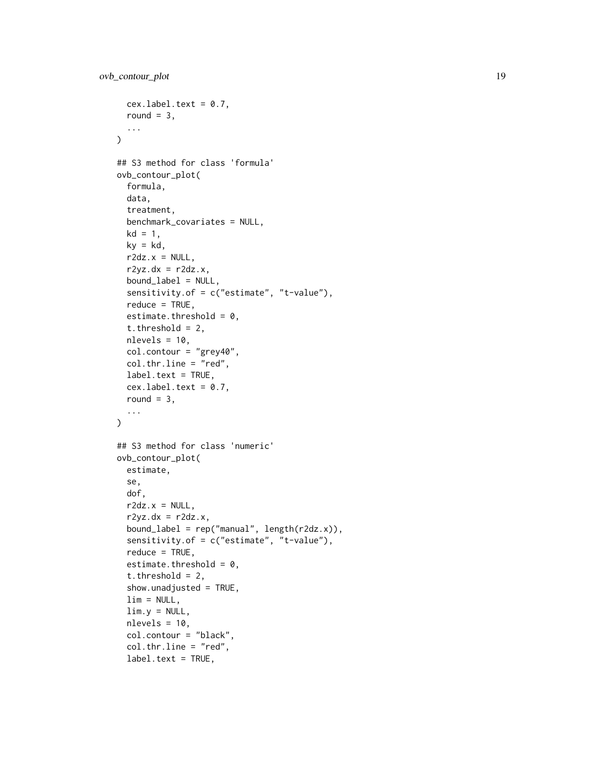```
cex.label.text = 0.7,round = 3,
  ...
\lambda## S3 method for class 'formula'
ovb_contour_plot(
  formula,
  data,
  treatment,
  benchmark_covariates = NULL,
  kd = 1,
 ky = kd,
  r2dz.x = NULL,r2yz.dx = r2dz.x,bound_label = NULL,
  sensitivity.of = c("estimate", "t-value"),
  reduce = TRUE,
  estimate.threshold = 0,
  t.threshold = 2,
 nlevels = 10,
  col.contour = "grey40",
  col.thr.line = "red",
  label.text = TRUE,
 cex.label.text = 0.7,round = 3,
  ...
\lambda## S3 method for class 'numeric'
ovb_contour_plot(
 estimate,
  se,
  dof,
  r2dz.x = NULL,r2yz.dx = r2dz.x,bound_label = rep('manual', length(r2dz.x)),
  sensitivity.of = c("estimate", "t-value"),
  reduce = TRUE,
  estimate.threshold = 0,
  t.threshold = 2,
  show.unadjusted = TRUE,
  \lim = NULL,
  \lim y = \text{NULL},
  nlevels = 10,col.contour = "black",
  col.thr.line = "red",
  label.text = TRUE,
```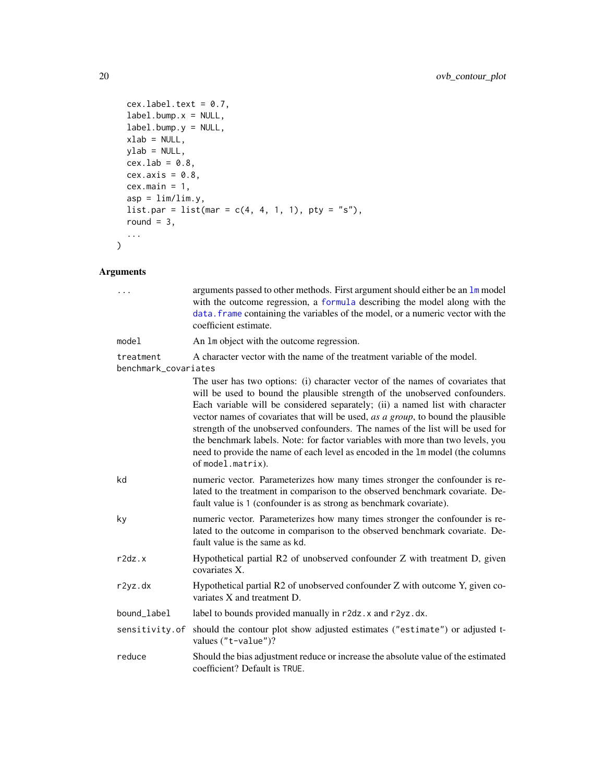```
cex.label.text = 0.7,label.bump.x = NULL,label.bump.y = NULL,
 xlab = NULL,ylab = NULL,
 cex.1ab = 0.8,
 cex. axis = 0.8,cex.mainloop = 1,
 asp = lim/lim.y,list.par = list(mar = c(4, 4, 1, 1), pty = "s"),
 round = 3,
 ...
\mathcal{L}
```
# Arguments

| $\cdots$                          | arguments passed to other methods. First argument should either be an 1m model<br>with the outcome regression, a formula describing the model along with the<br>data. frame containing the variables of the model, or a numeric vector with the<br>coefficient estimate.                                                                                                                                                                                                                                                                                                                                       |
|-----------------------------------|----------------------------------------------------------------------------------------------------------------------------------------------------------------------------------------------------------------------------------------------------------------------------------------------------------------------------------------------------------------------------------------------------------------------------------------------------------------------------------------------------------------------------------------------------------------------------------------------------------------|
| model                             | An 1m object with the outcome regression.                                                                                                                                                                                                                                                                                                                                                                                                                                                                                                                                                                      |
| treatment<br>benchmark_covariates | A character vector with the name of the treatment variable of the model.                                                                                                                                                                                                                                                                                                                                                                                                                                                                                                                                       |
|                                   | The user has two options: (i) character vector of the names of covariates that<br>will be used to bound the plausible strength of the unobserved confounders.<br>Each variable will be considered separately; (ii) a named list with character<br>vector names of covariates that will be used, as a group, to bound the plausible<br>strength of the unobserved confounders. The names of the list will be used for<br>the benchmark labels. Note: for factor variables with more than two levels, you<br>need to provide the name of each level as encoded in the 1m model (the columns<br>of model.matrix). |
| kd                                | numeric vector. Parameterizes how many times stronger the confounder is re-<br>lated to the treatment in comparison to the observed benchmark covariate. De-<br>fault value is 1 (confounder is as strong as benchmark covariate).                                                                                                                                                                                                                                                                                                                                                                             |
| ky                                | numeric vector. Parameterizes how many times stronger the confounder is re-<br>lated to the outcome in comparison to the observed benchmark covariate. De-<br>fault value is the same as kd.                                                                                                                                                                                                                                                                                                                                                                                                                   |
| r2dz.x                            | Hypothetical partial R2 of unobserved confounder Z with treatment D, given<br>covariates X.                                                                                                                                                                                                                                                                                                                                                                                                                                                                                                                    |
| r2yz.dx                           | Hypothetical partial R2 of unobserved confounder Z with outcome Y, given co-<br>variates X and treatment D.                                                                                                                                                                                                                                                                                                                                                                                                                                                                                                    |
| bound_label                       | label to bounds provided manually in r2dz. x and r2yz.dx.                                                                                                                                                                                                                                                                                                                                                                                                                                                                                                                                                      |
| sensitivity.of                    | should the contour plot show adjusted estimates ("estimate") or adjusted t-<br>values ("t-value")?                                                                                                                                                                                                                                                                                                                                                                                                                                                                                                             |
| reduce                            | Should the bias adjustment reduce or increase the absolute value of the estimated<br>coefficient? Default is TRUE.                                                                                                                                                                                                                                                                                                                                                                                                                                                                                             |

<span id="page-19-0"></span>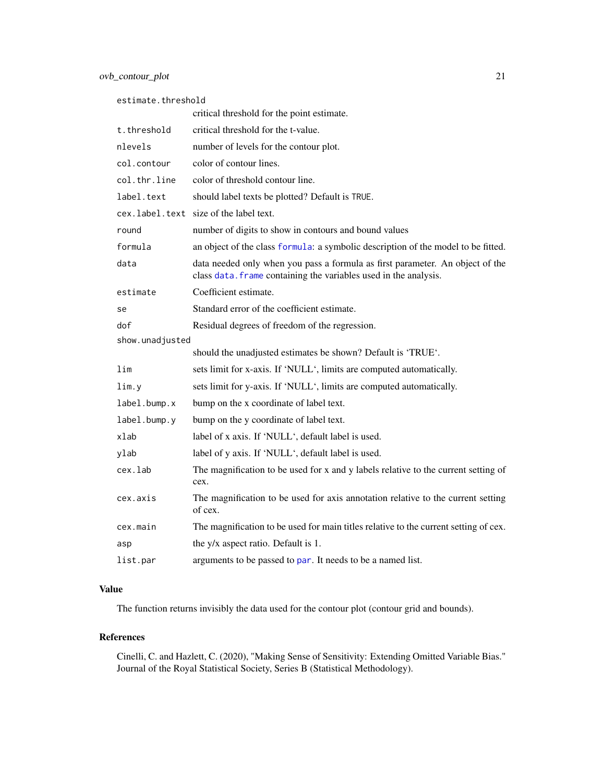<span id="page-20-0"></span>

| estimate.threshold |                                                                                                                                                   |  |
|--------------------|---------------------------------------------------------------------------------------------------------------------------------------------------|--|
|                    | critical threshold for the point estimate.                                                                                                        |  |
| t.threshold        | critical threshold for the t-value.                                                                                                               |  |
| nlevels            | number of levels for the contour plot.                                                                                                            |  |
| col.contour        | color of contour lines.                                                                                                                           |  |
| col.thr.line       | color of threshold contour line.                                                                                                                  |  |
| label.text         | should label texts be plotted? Default is TRUE.                                                                                                   |  |
|                    | cex.label.text size of the label text.                                                                                                            |  |
| round              | number of digits to show in contours and bound values                                                                                             |  |
| formula            | an object of the class formula: a symbolic description of the model to be fitted.                                                                 |  |
| data               | data needed only when you pass a formula as first parameter. An object of the<br>class data. frame containing the variables used in the analysis. |  |
| estimate           | Coefficient estimate.                                                                                                                             |  |
| se                 | Standard error of the coefficient estimate.                                                                                                       |  |
| dof                | Residual degrees of freedom of the regression.                                                                                                    |  |
| show.unadjusted    |                                                                                                                                                   |  |
|                    | should the unadjusted estimates be shown? Default is 'TRUE'.                                                                                      |  |
| lim                | sets limit for x-axis. If 'NULL', limits are computed automatically.                                                                              |  |
| lim.y              | sets limit for y-axis. If 'NULL', limits are computed automatically.                                                                              |  |
| label.bump.x       | bump on the x coordinate of label text.                                                                                                           |  |
| label.bump.y       | bump on the y coordinate of label text.                                                                                                           |  |
| xlab               | label of x axis. If 'NULL', default label is used.                                                                                                |  |
| ylab               | label of y axis. If 'NULL', default label is used.                                                                                                |  |
| cex.lab            | The magnification to be used for x and y labels relative to the current setting of<br>cex.                                                        |  |
| cex.axis           | The magnification to be used for axis annotation relative to the current setting<br>of cex.                                                       |  |
| cex.main           | The magnification to be used for main titles relative to the current setting of cex.                                                              |  |
| asp                | the y/x aspect ratio. Default is 1.                                                                                                               |  |
| list.par           | arguments to be passed to par. It needs to be a named list.                                                                                       |  |
|                    |                                                                                                                                                   |  |

# Value

The function returns invisibly the data used for the contour plot (contour grid and bounds).

# References

Cinelli, C. and Hazlett, C. (2020), "Making Sense of Sensitivity: Extending Omitted Variable Bias." Journal of the Royal Statistical Society, Series B (Statistical Methodology).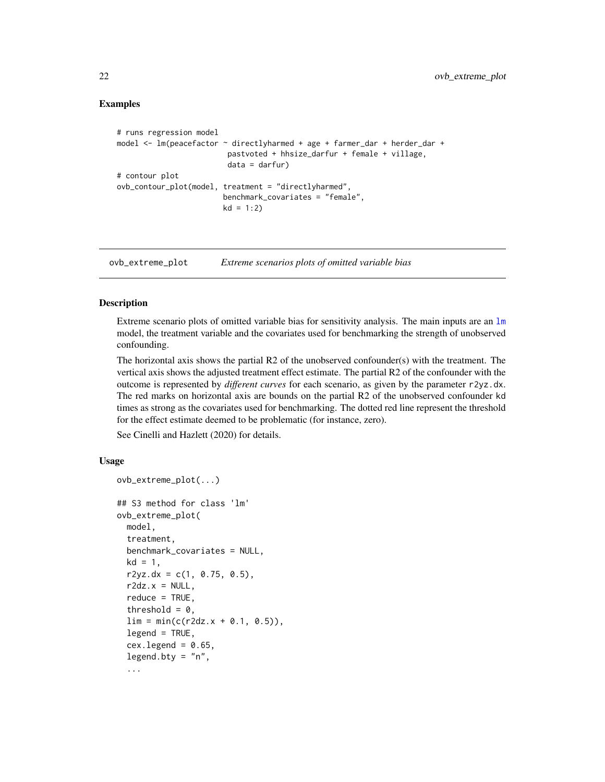# <span id="page-21-0"></span>Examples

```
# runs regression model
model <- lm(peacefactor ~ directlyharmed + age + farmer_dar + herder_dar +
                        pastvoted + hhsize_darfur + female + village,
                        data = darrfur# contour plot
ovb_contour_plot(model, treatment = "directlyharmed",
                       benchmark_covariates = "female",
                       kd = 1:2)
```
<span id="page-21-1"></span>ovb\_extreme\_plot *Extreme scenarios plots of omitted variable bias*

# Description

Extreme scenario plots of omitted variable bias for sensitivity analysis. The main inputs are an  $\text{Im }$ model, the treatment variable and the covariates used for benchmarking the strength of unobserved confounding.

The horizontal axis shows the partial  $R2$  of the unobserved confounder(s) with the treatment. The vertical axis shows the adjusted treatment effect estimate. The partial R2 of the confounder with the outcome is represented by *different curves* for each scenario, as given by the parameter r2yz.dx. The red marks on horizontal axis are bounds on the partial R2 of the unobserved confounder kd times as strong as the covariates used for benchmarking. The dotted red line represent the threshold for the effect estimate deemed to be problematic (for instance, zero).

See Cinelli and Hazlett (2020) for details.

ovb\_extreme\_plot(...)

# Usage

```
## S3 method for class 'lm'
ovb_extreme_plot(
 model,
  treatment,
  benchmark_covariates = NULL,
  kd = 1,
  r2yz.dx = c(1, 0.75, 0.5),
  r2dz.x = NULL,reduce = TRUE,
  threshold = 0.
  \lim = \min(c(r2dz.x + 0.1, 0.5)),legend = TRUE,cex. legend = 0.65,legend.bty = "n",...
```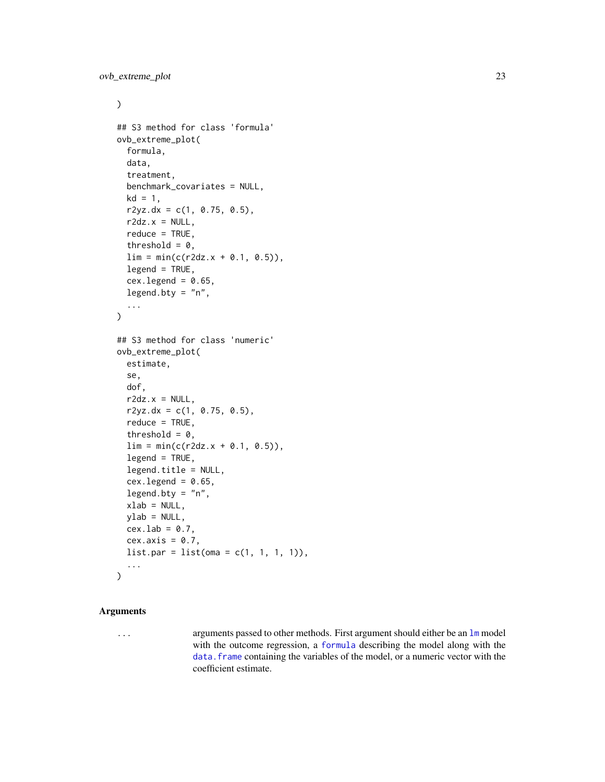#### <span id="page-22-0"></span> $\mathcal{L}$

```
## S3 method for class 'formula'
ovb_extreme_plot(
  formula,
  data,
  treatment,
  benchmark_covariates = NULL,
  kd = 1,
  r2yz. dx = c(1, 0.75, 0.5),
  r2dz.x = NULL,reduce = TRUE,
  threshold = 0,
  \lim = \min(c(r2dz.x + 0.1, 0.5)),legend = TRUE,cex. legend = 0.65,legend.bty = "n",...
\mathcal{L}## S3 method for class 'numeric'
ovb_extreme_plot(
  estimate,
  se,
  dof,
  r2dz.x = NULL,r2yz. dx = c(1, 0.75, 0.5),
  reduce = TRUE,
  threshold = 0,
  \lim = \min(c(r2dz.x + 0.1, 0.5)),legend = TRUE,legend.title = NULL,
  cex. legend = 0.65,
  legend.bty = "n",xlab = NULL,
 ylab = NULL,
  cex.1ab = 0.7,
  cex. axis = 0.7,list.par = list(oma = c(1, 1, 1, 1)),...
\mathcal{L}
```
# Arguments

... arguments passed to other methods. First argument should either be an [lm](#page-0-0) model with the outcome regression, a [formula](#page-0-0) describing the model along with the [data.frame](#page-0-0) containing the variables of the model, or a numeric vector with the coefficient estimate.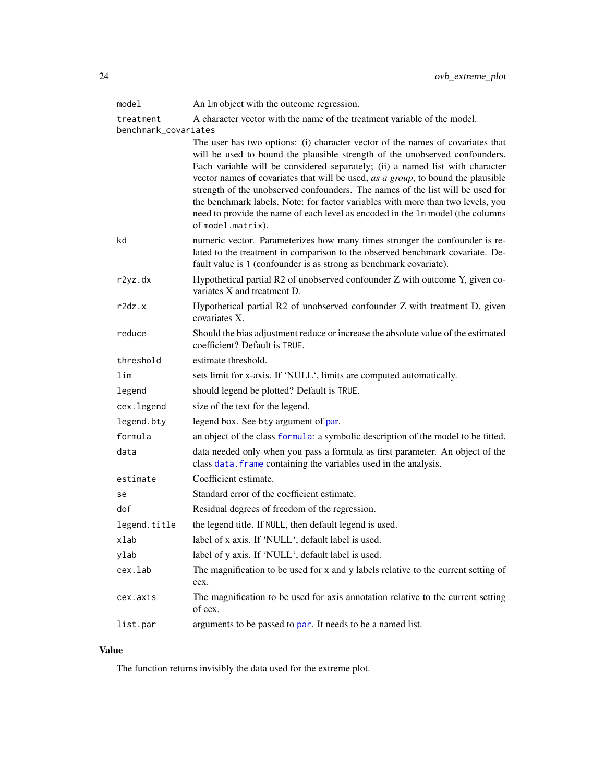<span id="page-23-0"></span>

| model                             | An 1m object with the outcome regression.                                                                                                                                                                                                                                                                                                                                                                                                                                                                                                                                                                      |
|-----------------------------------|----------------------------------------------------------------------------------------------------------------------------------------------------------------------------------------------------------------------------------------------------------------------------------------------------------------------------------------------------------------------------------------------------------------------------------------------------------------------------------------------------------------------------------------------------------------------------------------------------------------|
| treatment<br>benchmark_covariates | A character vector with the name of the treatment variable of the model.                                                                                                                                                                                                                                                                                                                                                                                                                                                                                                                                       |
|                                   | The user has two options: (i) character vector of the names of covariates that<br>will be used to bound the plausible strength of the unobserved confounders.<br>Each variable will be considered separately; (ii) a named list with character<br>vector names of covariates that will be used, as a group, to bound the plausible<br>strength of the unobserved confounders. The names of the list will be used for<br>the benchmark labels. Note: for factor variables with more than two levels, you<br>need to provide the name of each level as encoded in the 1m model (the columns<br>of model.matrix). |
| kd                                | numeric vector. Parameterizes how many times stronger the confounder is re-<br>lated to the treatment in comparison to the observed benchmark covariate. De-<br>fault value is 1 (confounder is as strong as benchmark covariate).                                                                                                                                                                                                                                                                                                                                                                             |
| r2yz.dx                           | Hypothetical partial R2 of unobserved confounder Z with outcome Y, given co-<br>variates X and treatment D.                                                                                                                                                                                                                                                                                                                                                                                                                                                                                                    |
| r2dz.x                            | Hypothetical partial R2 of unobserved confounder Z with treatment D, given<br>covariates X.                                                                                                                                                                                                                                                                                                                                                                                                                                                                                                                    |
| reduce                            | Should the bias adjustment reduce or increase the absolute value of the estimated<br>coefficient? Default is TRUE.                                                                                                                                                                                                                                                                                                                                                                                                                                                                                             |
| threshold                         | estimate threshold.                                                                                                                                                                                                                                                                                                                                                                                                                                                                                                                                                                                            |
| lim                               | sets limit for x-axis. If 'NULL', limits are computed automatically.                                                                                                                                                                                                                                                                                                                                                                                                                                                                                                                                           |
| legend                            | should legend be plotted? Default is TRUE.                                                                                                                                                                                                                                                                                                                                                                                                                                                                                                                                                                     |
| cex.legend                        | size of the text for the legend.                                                                                                                                                                                                                                                                                                                                                                                                                                                                                                                                                                               |
| legend.bty                        | legend box. See bty argument of par.                                                                                                                                                                                                                                                                                                                                                                                                                                                                                                                                                                           |
| formula                           | an object of the class formula: a symbolic description of the model to be fitted.                                                                                                                                                                                                                                                                                                                                                                                                                                                                                                                              |
| data                              | data needed only when you pass a formula as first parameter. An object of the<br>class data. frame containing the variables used in the analysis.                                                                                                                                                                                                                                                                                                                                                                                                                                                              |
| estimate                          | Coefficient estimate.                                                                                                                                                                                                                                                                                                                                                                                                                                                                                                                                                                                          |
| se                                | Standard error of the coefficient estimate.                                                                                                                                                                                                                                                                                                                                                                                                                                                                                                                                                                    |
| dof                               | Residual degrees of freedom of the regression.                                                                                                                                                                                                                                                                                                                                                                                                                                                                                                                                                                 |
| legend.title                      | the legend title. If NULL, then default legend is used.                                                                                                                                                                                                                                                                                                                                                                                                                                                                                                                                                        |
| xlab                              | label of x axis. If 'NULL', default label is used.                                                                                                                                                                                                                                                                                                                                                                                                                                                                                                                                                             |
| ylab                              | label of y axis. If 'NULL', default label is used.                                                                                                                                                                                                                                                                                                                                                                                                                                                                                                                                                             |
| cex.lab                           | The magnification to be used for x and y labels relative to the current setting of<br>cex.                                                                                                                                                                                                                                                                                                                                                                                                                                                                                                                     |
| cex.axis                          | The magnification to be used for axis annotation relative to the current setting<br>of cex.                                                                                                                                                                                                                                                                                                                                                                                                                                                                                                                    |
| list.par                          | arguments to be passed to par. It needs to be a named list.                                                                                                                                                                                                                                                                                                                                                                                                                                                                                                                                                    |

# Value

The function returns invisibly the data used for the extreme plot.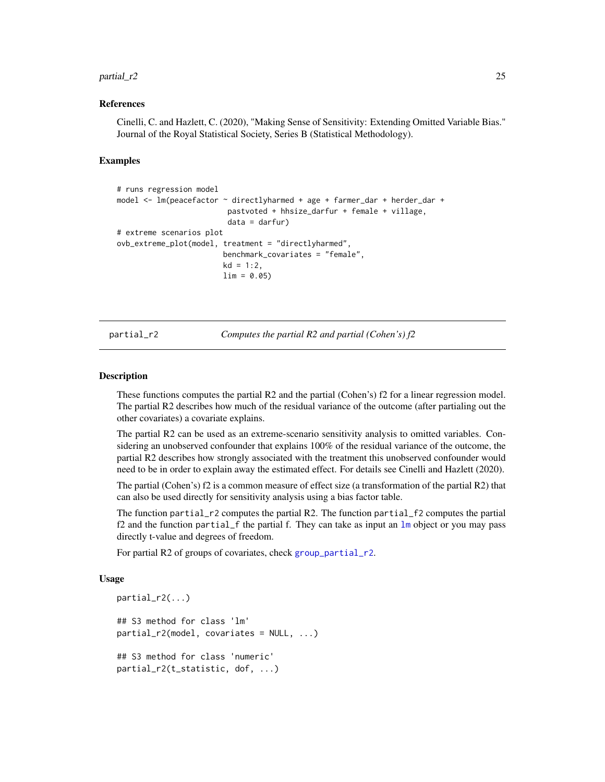#### <span id="page-24-0"></span> $partial_1$  25

#### References

Cinelli, C. and Hazlett, C. (2020), "Making Sense of Sensitivity: Extending Omitted Variable Bias." Journal of the Royal Statistical Society, Series B (Statistical Methodology).

#### Examples

```
# runs regression model
model <- lm(peacefactor ~ directlyharmed + age + farmer_dar + herder_dar +
                         pastvoted + hhsize_darfur + female + village,
                         data = darfur)
# extreme scenarios plot
ovb_extreme_plot(model, treatment = "directlyharmed",
                        benchmark_covariates = "female",
                        kd = 1:2,
                        \lim = 0.05
```
partial\_r2 *Computes the partial R2 and partial (Cohen's) f2*

#### <span id="page-24-2"></span>**Description**

These functions computes the partial R2 and the partial (Cohen's) f2 for a linear regression model. The partial R2 describes how much of the residual variance of the outcome (after partialing out the other covariates) a covariate explains.

The partial R2 can be used as an extreme-scenario sensitivity analysis to omitted variables. Considering an unobserved confounder that explains 100% of the residual variance of the outcome, the partial R2 describes how strongly associated with the treatment this unobserved confounder would need to be in order to explain away the estimated effect. For details see Cinelli and Hazlett (2020).

The partial (Cohen's) f2 is a common measure of effect size (a transformation of the partial R2) that can also be used directly for sensitivity analysis using a bias factor table.

The function partial\_r2 computes the partial R2. The function partial\_f2 computes the partial f2 and the function partial\_f the partial f. They can take as input an [lm](#page-0-0) object or you may pass directly t-value and degrees of freedom.

For partial R2 of groups of covariates, check [group\\_partial\\_r2](#page-12-1).

#### Usage

```
partial_r2(...)
## S3 method for class 'lm'
partial_r^2(model, covariates = NULL, ...)
## S3 method for class 'numeric'
partial_r2(t_statistic, dof, ...)
```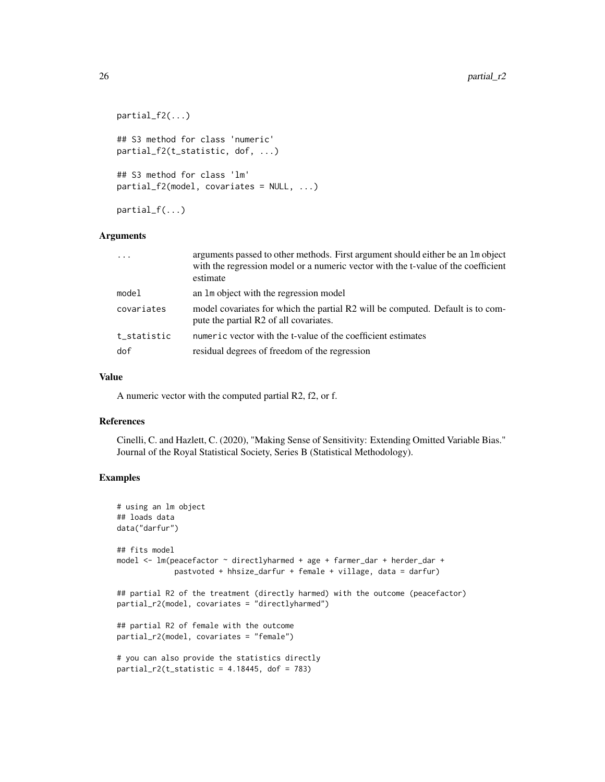```
partial_f2(...)
## S3 method for class 'numeric'
partial_f2(t_statistic, dof, ...)
## S3 method for class 'lm'
partial_f2(model, covariates = NULL, ...)
partial_f(...)
```
#### Arguments

|             | arguments passed to other methods. First argument should either be an 1m object<br>with the regression model or a numeric vector with the t-value of the coefficient<br>estimate |
|-------------|----------------------------------------------------------------------------------------------------------------------------------------------------------------------------------|
| model       | an 1m object with the regression model                                                                                                                                           |
| covariates  | model covariates for which the partial R2 will be computed. Default is to com-<br>pute the partial R2 of all covariates.                                                         |
| t statistic | numeric vector with the t-value of the coefficient estimates                                                                                                                     |
| dof         | residual degrees of freedom of the regression                                                                                                                                    |

#### Value

A numeric vector with the computed partial R2, f2, or f.

#### References

Cinelli, C. and Hazlett, C. (2020), "Making Sense of Sensitivity: Extending Omitted Variable Bias." Journal of the Royal Statistical Society, Series B (Statistical Methodology).

```
# using an lm object
## loads data
data("darfur")
## fits model
model <- lm(peacefactor ~ directlyharmed + age + farmer_dar + herder_dar +
             pastvoted + hhsize_darfur + female + village, data = darfur)
## partial R2 of the treatment (directly harmed) with the outcome (peacefactor)
partial_r2(model, covariates = "directlyharmed")
## partial R2 of female with the outcome
partial_r2(model, covariates = "female")
# you can also provide the statistics directly
partial_r2(t_static = 4.18445, dof = 783)
```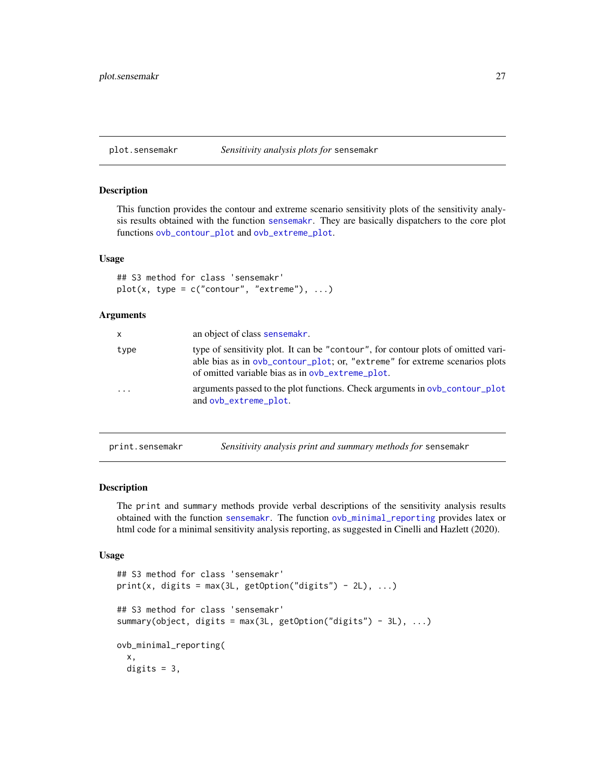<span id="page-26-0"></span>

### Description

This function provides the contour and extreme scenario sensitivity plots of the sensitivity analysis results obtained with the function [sensemakr](#page-30-1). They are basically dispatchers to the core plot functions [ovb\\_contour\\_plot](#page-17-1) and [ovb\\_extreme\\_plot](#page-21-1).

#### Usage

```
## S3 method for class 'sensemakr'
plot(x, type = c("contour", "extreme"), ...)
```
# Arguments

| $\mathsf{x}$ | an object of class sensemakr.                                                                                                                                                                                        |
|--------------|----------------------------------------------------------------------------------------------------------------------------------------------------------------------------------------------------------------------|
| type         | type of sensitivity plot. It can be "contour", for contour plots of omitted vari-<br>able bias as in ovb_contour_plot; or, "extreme" for extreme scenarios plots<br>of omitted variable bias as in ovb_extreme_plot. |
|              | arguments passed to the plot functions. Check arguments in $ovb_{\text{contour}}$ -plot<br>and ovb_extreme_plot.                                                                                                     |

print.sensemakr *Sensitivity analysis print and summary methods for* sensemakr

#### <span id="page-26-1"></span>Description

The print and summary methods provide verbal descriptions of the sensitivity analysis results obtained with the function [sensemakr](#page-30-1). The function [ovb\\_minimal\\_reporting](#page-26-1) provides latex or html code for a minimal sensitivity analysis reporting, as suggested in Cinelli and Hazlett (2020).

#### Usage

```
## S3 method for class 'sensemakr'
print(x, digits = max(3L, getOption("digits") - 2L), ...)## S3 method for class 'sensemakr'
summary(object, digits = max(3L, getOption("digits") - 3L), \dots)
ovb_minimal_reporting(
  x,
 digits = 3,
```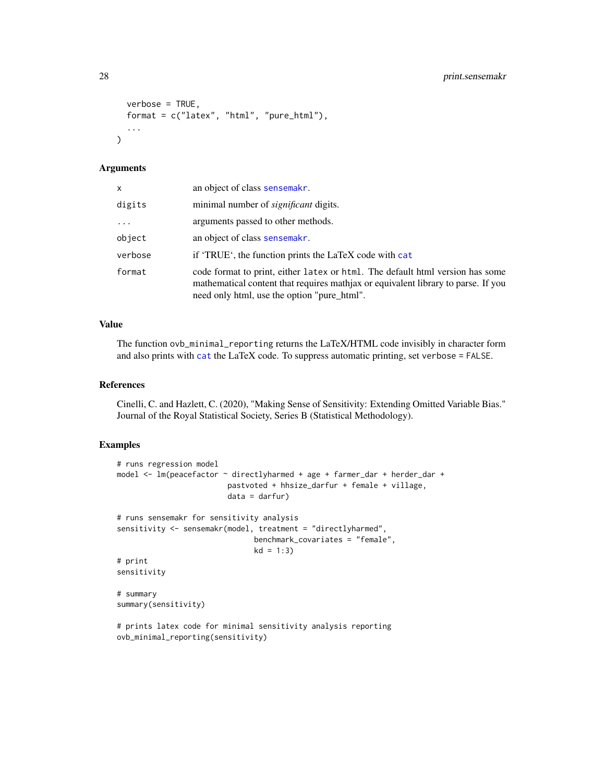```
verbose = TRUE,
  format = c("latex", "html", "pure_html"),
  ...
\lambda
```
### Arguments

| x        | an object of class sensemakr.                                                                                                                                                                                     |
|----------|-------------------------------------------------------------------------------------------------------------------------------------------------------------------------------------------------------------------|
| digits   | minimal number of <i>significant</i> digits.                                                                                                                                                                      |
| $\cdots$ | arguments passed to other methods.                                                                                                                                                                                |
| object   | an object of class sensemakr.                                                                                                                                                                                     |
| verbose  | if 'TRUE', the function prints the LaTeX code with cat                                                                                                                                                            |
| format   | code format to print, either latex or html. The default html version has some<br>mathematical content that requires mathjax or equivalent library to parse. If you<br>need only html, use the option "pure_html". |

# Value

The function ovb\_minimal\_reporting returns the LaTeX/HTML code invisibly in character form and also prints with [cat](#page-0-0) the LaTeX code. To suppress automatic printing, set verbose = FALSE.

#### References

Cinelli, C. and Hazlett, C. (2020), "Making Sense of Sensitivity: Extending Omitted Variable Bias." Journal of the Royal Statistical Society, Series B (Statistical Methodology).

# Examples

```
# runs regression model
model <- lm(peacefactor ~ directlyharmed + age + farmer_dar + herder_dar +
                         pastvoted + hhsize_darfur + female + village,
                         data = darfur)
# runs sensemakr for sensitivity analysis
sensitivity <- sensemakr(model, treatment = "directlyharmed",
                              benchmark_covariates = "female",
                              kd = 1:3)# print
sensitivity
# summary
summary(sensitivity)
# prints latex code for minimal sensitivity analysis reporting
```
ovb\_minimal\_reporting(sensitivity)

<span id="page-27-0"></span>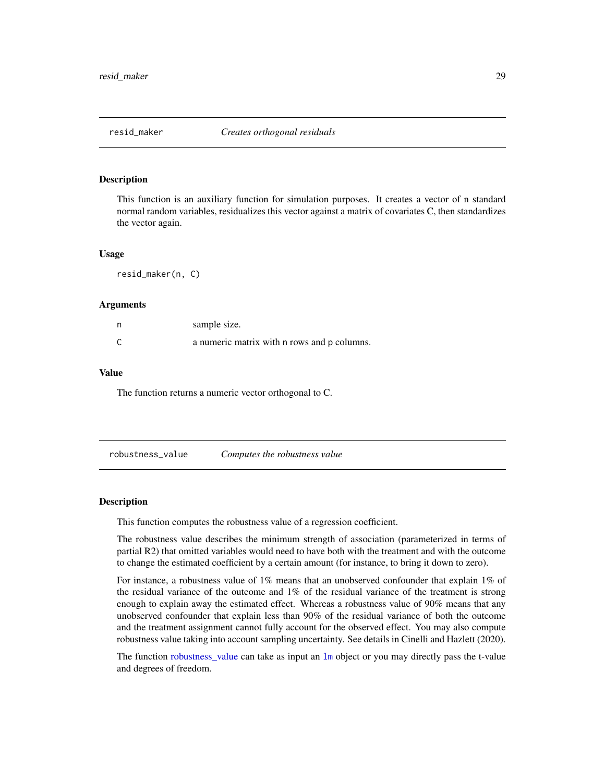<span id="page-28-0"></span>

#### Description

This function is an auxiliary function for simulation purposes. It creates a vector of n standard normal random variables, residualizes this vector against a matrix of covariates C, then standardizes the vector again.

#### Usage

resid\_maker(n, C)

#### Arguments

| n | sample size.                                |
|---|---------------------------------------------|
| С | a numeric matrix with n rows and p columns. |

#### Value

The function returns a numeric vector orthogonal to C.

<span id="page-28-1"></span>robustness\_value *Computes the robustness value*

#### Description

This function computes the robustness value of a regression coefficient.

The robustness value describes the minimum strength of association (parameterized in terms of partial R2) that omitted variables would need to have both with the treatment and with the outcome to change the estimated coefficient by a certain amount (for instance, to bring it down to zero).

For instance, a robustness value of 1% means that an unobserved confounder that explain 1% of the residual variance of the outcome and 1% of the residual variance of the treatment is strong enough to explain away the estimated effect. Whereas a robustness value of 90% means that any unobserved confounder that explain less than 90% of the residual variance of both the outcome and the treatment assignment cannot fully account for the observed effect. You may also compute robustness value taking into account sampling uncertainty. See details in Cinelli and Hazlett (2020).

The function [robustness\\_value](#page-28-1) can take as input an [lm](#page-0-0) object or you may directly pass the t-value and degrees of freedom.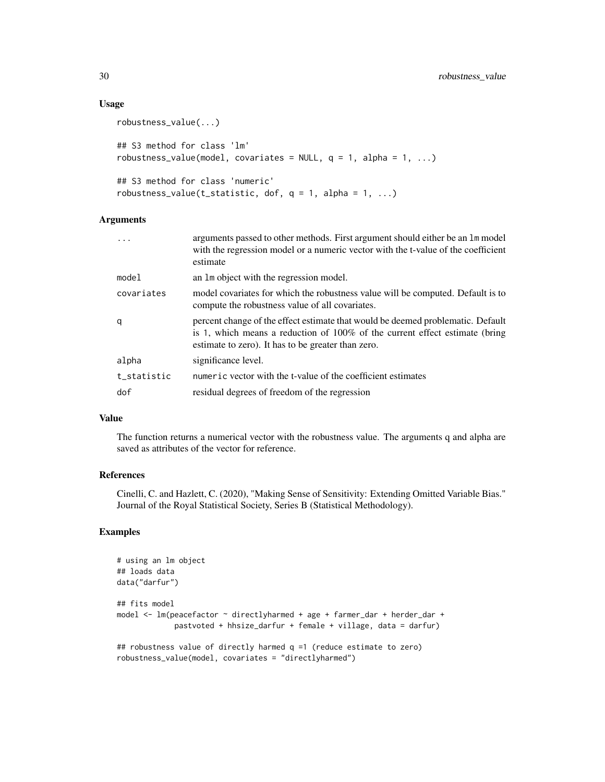#### Usage

```
robustness_value(...)
## S3 method for class 'lm'
robustness_value(model, covariates = NULL, q = 1, alpha = 1, ...)
## S3 method for class 'numeric'
robustness_value(t_statistic, dof, q = 1, alpha = 1, ...)
```
# Arguments

|             | arguments passed to other methods. First argument should either be an 1m model<br>with the regression model or a numeric vector with the t-value of the coefficient<br>estimate                                         |
|-------------|-------------------------------------------------------------------------------------------------------------------------------------------------------------------------------------------------------------------------|
| mode1       | an 1m object with the regression model.                                                                                                                                                                                 |
| covariates  | model covariates for which the robustness value will be computed. Default is to<br>compute the robustness value of all covariates.                                                                                      |
| q           | percent change of the effect estimate that would be deemed problematic. Default<br>is 1, which means a reduction of $100\%$ of the current effect estimate (bring<br>estimate to zero). It has to be greater than zero. |
| alpha       | significance level.                                                                                                                                                                                                     |
| t_statistic | numeric vector with the t-value of the coefficient estimates                                                                                                                                                            |
| dof         | residual degrees of freedom of the regression                                                                                                                                                                           |
|             |                                                                                                                                                                                                                         |

# Value

The function returns a numerical vector with the robustness value. The arguments q and alpha are saved as attributes of the vector for reference.

# References

Cinelli, C. and Hazlett, C. (2020), "Making Sense of Sensitivity: Extending Omitted Variable Bias." Journal of the Royal Statistical Society, Series B (Statistical Methodology).

```
# using an lm object
## loads data
data("darfur")
## fits model
model <- lm(peacefactor ~ directlyharmed + age + farmer_dar + herder_dar +
             pastvoted + hhsize_darfur + female + village, data = darfur)
## robustness value of directly harmed q =1 (reduce estimate to zero)
robustness_value(model, covariates = "directlyharmed")
```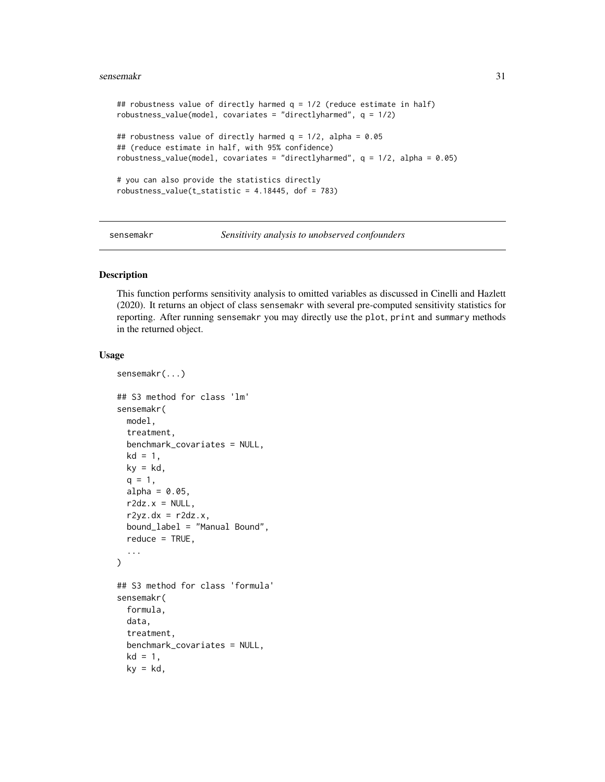#### <span id="page-30-0"></span>sensemakr 31

```
## robustness value of directly harmed q = 1/2 (reduce estimate in half)
robustness_value(model, covariates = "directlyharmed", q = 1/2)
## robustness value of directly harmed q = 1/2, alpha = 0.05
## (reduce estimate in half, with 95% confidence)
robustness_value(model, covariates = "directlyharmed", q = 1/2, alpha = 0.05)
# you can also provide the statistics directly
robustness_value(t_statistic = 4.18445, dof = 783)
```
<span id="page-30-1"></span>sensemakr *Sensitivity analysis to unobserved confounders*

### Description

This function performs sensitivity analysis to omitted variables as discussed in Cinelli and Hazlett (2020). It returns an object of class sensemakr with several pre-computed sensitivity statistics for reporting. After running sensemakr you may directly use the plot, print and summary methods in the returned object.

#### Usage

```
sensemakr(...)
## S3 method for class 'lm'
sensemakr(
 model,
  treatment,
 benchmark_covariates = NULL,
 kd = 1,
 ky = kd,q = 1,
  alpha = 0.05,
 r2dz.x = NULL,r2yz.dx = r2dz.x,bound_label = "Manual Bound",
  reduce = TRUE,
  ...
)
## S3 method for class 'formula'
sensemakr(
  formula,
 data,
  treatment,
 benchmark_covariates = NULL,
  kd = 1,
 ky = kd,
```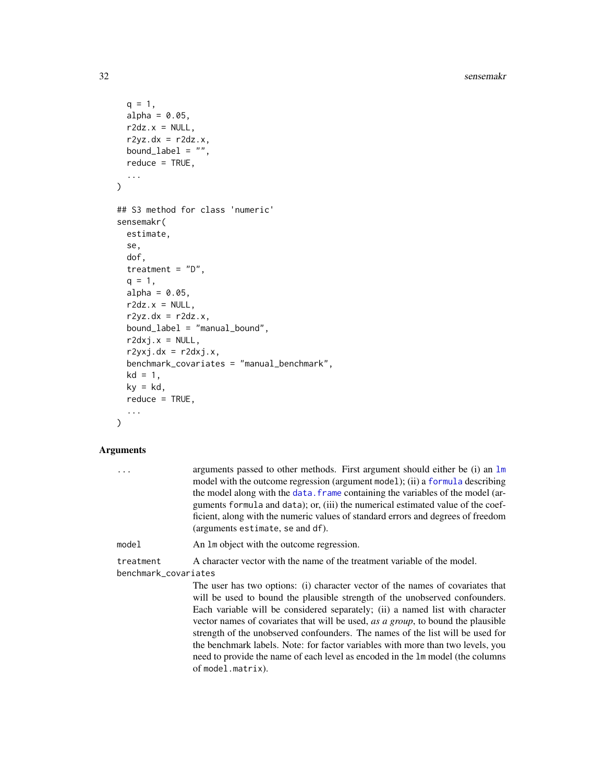32 sensemakr

```
q = 1,
  alpha = 0.05,
  r2dz.x = NULL,r2yz.dx = r2dz.x,bound_label = ",
  reduce = TRUE,
  ...
)
## S3 method for class 'numeric'
sensemakr(
  estimate,
  se,
  dof,
  treatment = "D",q = 1,
  alpha = 0.05,
  r2dz.x = NULL,r2yz.dx = r2dz.x,bound_label = "manual_bound",
  r2dxj.x = NULL,r2yxj.dx = r2dxj.x,benchmark_covariates = "manual_benchmark",
  kd = 1,
 ky = kd,
  reduce = TRUE,
  ...
)
```
# Arguments

| . | arguments passed to other methods. First argument should either be $(i)$ an $\text{Im } \theta$ |
|---|-------------------------------------------------------------------------------------------------|
|   | model with the outcome regression (argument model); (ii) a formula describing                   |
|   | the model along with the data. Frame containing the variables of the model (ar-                 |
|   | guments formula and data); or, (iii) the numerical estimated value of the coef-                 |
|   | ficient, along with the numeric values of standard errors and degrees of freedom                |
|   | (arguments estimate, se and df).                                                                |

model An lm object with the outcome regression.

treatment A character vector with the name of the treatment variable of the model. benchmark\_covariates

> The user has two options: (i) character vector of the names of covariates that will be used to bound the plausible strength of the unobserved confounders. Each variable will be considered separately; (ii) a named list with character vector names of covariates that will be used, *as a group*, to bound the plausible strength of the unobserved confounders. The names of the list will be used for the benchmark labels. Note: for factor variables with more than two levels, you need to provide the name of each level as encoded in the lm model (the columns of model.matrix).

<span id="page-31-0"></span>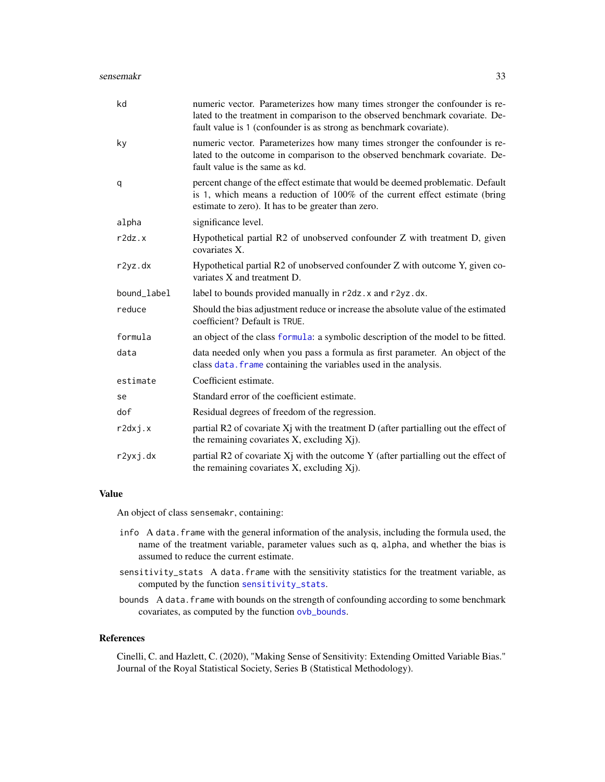<span id="page-32-0"></span>

| kd          | numeric vector. Parameterizes how many times stronger the confounder is re-<br>lated to the treatment in comparison to the observed benchmark covariate. De-<br>fault value is 1 (confounder is as strong as benchmark covariate). |
|-------------|------------------------------------------------------------------------------------------------------------------------------------------------------------------------------------------------------------------------------------|
| ky          | numeric vector. Parameterizes how many times stronger the confounder is re-<br>lated to the outcome in comparison to the observed benchmark covariate. De-<br>fault value is the same as kd.                                       |
| q           | percent change of the effect estimate that would be deemed problematic. Default<br>is 1, which means a reduction of 100% of the current effect estimate (bring<br>estimate to zero). It has to be greater than zero.               |
| alpha       | significance level.                                                                                                                                                                                                                |
| r2dz.x      | Hypothetical partial R2 of unobserved confounder Z with treatment D, given<br>covariates X.                                                                                                                                        |
| r2yz.dx     | Hypothetical partial R2 of unobserved confounder Z with outcome Y, given co-<br>variates X and treatment D.                                                                                                                        |
| bound_label | label to bounds provided manually in r2dz. x and r2yz.dx.                                                                                                                                                                          |
| reduce      | Should the bias adjustment reduce or increase the absolute value of the estimated<br>coefficient? Default is TRUE.                                                                                                                 |
| formula     | an object of the class formula: a symbolic description of the model to be fitted.                                                                                                                                                  |
| data        | data needed only when you pass a formula as first parameter. An object of the<br>class data. frame containing the variables used in the analysis.                                                                                  |
| estimate    | Coefficient estimate.                                                                                                                                                                                                              |
| se          | Standard error of the coefficient estimate.                                                                                                                                                                                        |
| dof         | Residual degrees of freedom of the regression.                                                                                                                                                                                     |
| r2dxj.x     | partial R2 of covariate $X_j$ with the treatment D (after partialling out the effect of<br>the remaining covariates X, excluding Xj).                                                                                              |
| r2yxj.dx    | partial R2 of covariate Xj with the outcome Y (after partialling out the effect of<br>the remaining covariates X, excluding Xj).                                                                                                   |

# Value

An object of class sensemakr, containing:

- info A data.frame with the general information of the analysis, including the formula used, the name of the treatment variable, parameter values such as q, alpha, and whether the bias is assumed to reduce the current estimate.
- sensitivity\_stats A data.frame with the sensitivity statistics for the treatment variable, as computed by the function [sensitivity\\_stats](#page-33-1).
- bounds A data. frame with bounds on the strength of confounding according to some benchmark covariates, as computed by the function [ovb\\_bounds](#page-13-1).

#### References

Cinelli, C. and Hazlett, C. (2020), "Making Sense of Sensitivity: Extending Omitted Variable Bias." Journal of the Royal Statistical Society, Series B (Statistical Methodology).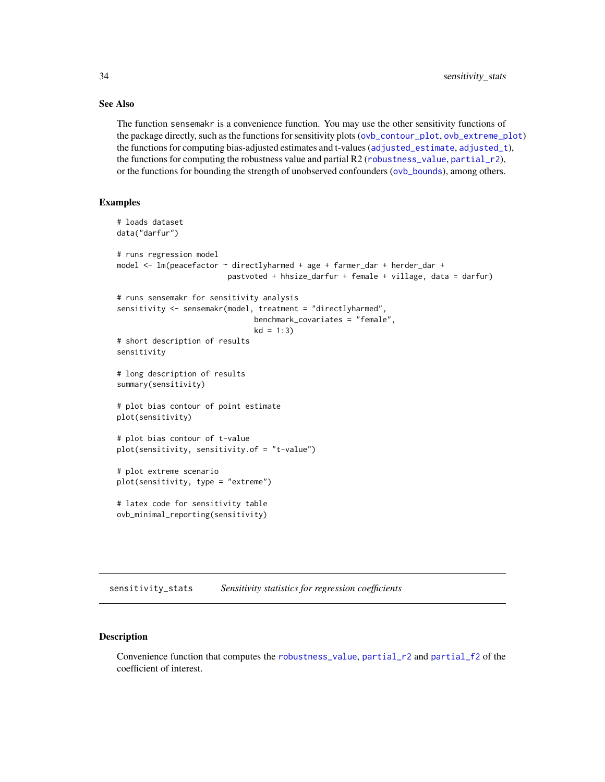# See Also

The function sensemakr is a convenience function. You may use the other sensitivity functions of the package directly, such as the functions for sensitivity plots ([ovb\\_contour\\_plot](#page-17-1), [ovb\\_extreme\\_plot](#page-21-1)) the functions for computing bias-adjusted estimates and t-values ([adjusted\\_estimate](#page-6-1), [adjusted\\_t](#page-6-2)), the functions for computing the robustness value and partial R2 ([robustness\\_value](#page-28-1), [partial\\_r2](#page-24-1)), or the functions for bounding the strength of unobserved confounders ([ovb\\_bounds](#page-13-1)), among others.

### Examples

```
# loads dataset
data("darfur")
# runs regression model
model <- lm(peacefactor ~ directlyharmed + age + farmer_dar + herder_dar +
                         pastvoted + hhsize_darfur + female + village, data = darfur)
# runs sensemakr for sensitivity analysis
sensitivity <- sensemakr(model, treatment = "directlyharmed",
                               benchmark_covariates = "female",
                               kd = 1:3)# short description of results
sensitivity
# long description of results
summary(sensitivity)
# plot bias contour of point estimate
plot(sensitivity)
# plot bias contour of t-value
plot(sensitivity, sensitivity.of = "t-value")
# plot extreme scenario
plot(sensitivity, type = "extreme")
# latex code for sensitivity table
ovb_minimal_reporting(sensitivity)
```
<span id="page-33-1"></span>sensitivity\_stats *Sensitivity statistics for regression coefficients*

# Description

Convenience function that computes the [robustness\\_value](#page-28-1), [partial\\_r2](#page-24-1) and [partial\\_f2](#page-24-2) of the coefficient of interest.

<span id="page-33-0"></span>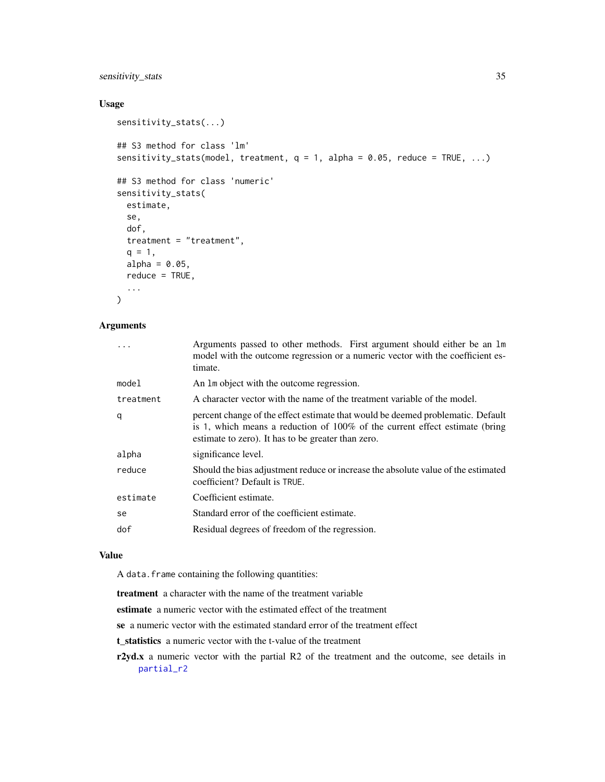# <span id="page-34-0"></span>sensitivity\_stats 35

# Usage

```
sensitivity_stats(...)
## S3 method for class 'lm'
sensitivity_stats(model, treatment, q = 1, alpha = 0.05, reduce = TRUE, ...)
## S3 method for class 'numeric'
sensitivity_stats(
 estimate,
 se,
 dof,
 treatment = "treatment",
 q = 1,
 alpha = 0.05,
 reduce = TRUE,
  ...
\mathcal{L}
```
# Arguments

| $\ddots$  | Arguments passed to other methods. First argument should either be an 1m<br>model with the outcome regression or a numeric vector with the coefficient es-<br>timate.                                                   |
|-----------|-------------------------------------------------------------------------------------------------------------------------------------------------------------------------------------------------------------------------|
| model     | An 1m object with the outcome regression.                                                                                                                                                                               |
| treatment | A character vector with the name of the treatment variable of the model.                                                                                                                                                |
| q         | percent change of the effect estimate that would be deemed problematic. Default<br>is 1, which means a reduction of $100\%$ of the current effect estimate (bring<br>estimate to zero). It has to be greater than zero. |
| alpha     | significance level.                                                                                                                                                                                                     |
| reduce    | Should the bias adjustment reduce or increase the absolute value of the estimated<br>coefficient? Default is TRUE.                                                                                                      |
| estimate  | Coefficient estimate.                                                                                                                                                                                                   |
| se        | Standard error of the coefficient estimate.                                                                                                                                                                             |
| dof       | Residual degrees of freedom of the regression.                                                                                                                                                                          |
|           |                                                                                                                                                                                                                         |

#### Value

A data.frame containing the following quantities:

treatment a character with the name of the treatment variable

estimate a numeric vector with the estimated effect of the treatment

se a numeric vector with the estimated standard error of the treatment effect

t\_statistics a numeric vector with the t-value of the treatment

r2yd.x a numeric vector with the partial R2 of the treatment and the outcome, see details in [partial\\_r2](#page-24-1)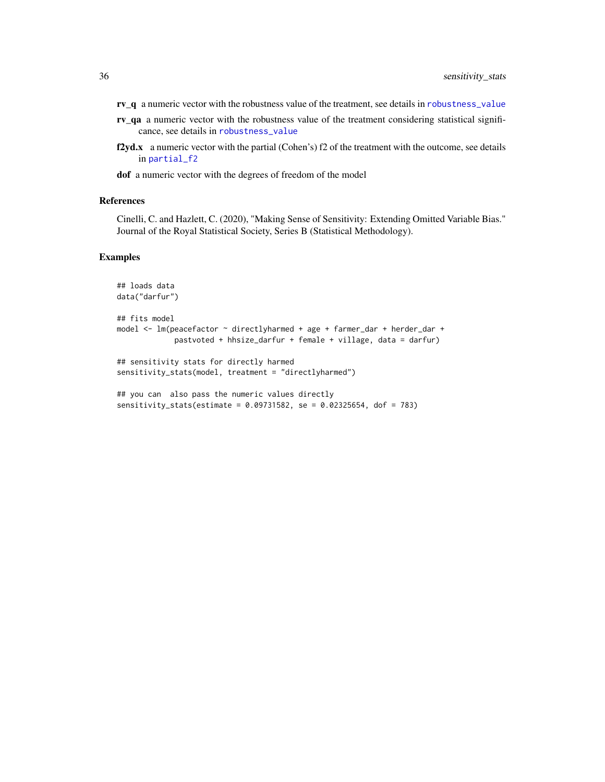- <span id="page-35-0"></span>rv\_q a numeric vector with the robustness value of the treatment, see details in [robustness\\_value](#page-28-1)
- rv\_qa a numeric vector with the robustness value of the treatment considering statistical significance, see details in [robustness\\_value](#page-28-1)
- f2yd.x a numeric vector with the partial (Cohen's)  $f2$  of the treatment with the outcome, see details in [partial\\_f2](#page-24-2)
- dof a numeric vector with the degrees of freedom of the model

#### References

Cinelli, C. and Hazlett, C. (2020), "Making Sense of Sensitivity: Extending Omitted Variable Bias." Journal of the Royal Statistical Society, Series B (Statistical Methodology).

```
## loads data
data("darfur")
## fits model
model <- lm(peacefactor ~ directlyharmed + age + farmer_dar + herder_dar +
            pastvoted + hhsize_darfur + female + village, data = darfur)
## sensitivity stats for directly harmed
sensitivity_stats(model, treatment = "directlyharmed")
## you can also pass the numeric values directly
sensitivity_stats(estimate = 0.09731582, se = 0.02325654, dof = 783)
```